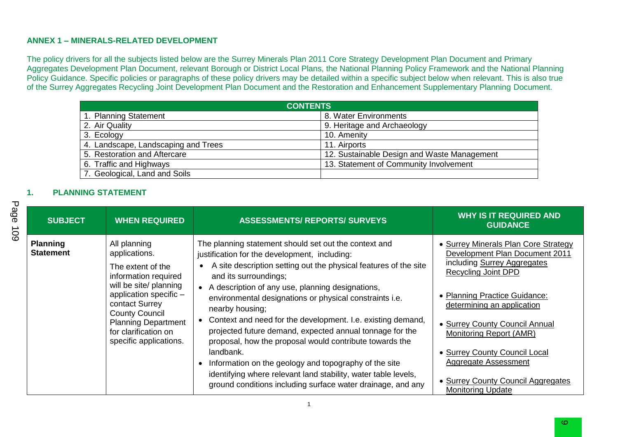#### **ANNEX 1 – MINERALS-RELATED DEVELOPMENT**

The policy drivers for all the subjects listed below are the Surrey Minerals Plan 2011 Core Strategy Development Plan Document and Primary Aggregates Development Plan Document, relevant Borough or District Local Plans, the National Planning Policy Framework and the National Planning Policy Guidance. Specific policies or paragraphs of these policy drivers may be detailed within a specific subject below when relevant. This is also true of the Surrey Aggregates Recycling Joint Development Plan Document and the Restoration and Enhancement Supplementary Planning Document.

| <b>CONTENTS</b>                     |                                             |  |  |  |
|-------------------------------------|---------------------------------------------|--|--|--|
| 1. Planning Statement               | 8. Water Environments                       |  |  |  |
| 2. Air Quality                      | 9. Heritage and Archaeology                 |  |  |  |
| 3. Ecology                          | 10. Amenity                                 |  |  |  |
| 4. Landscape, Landscaping and Trees | 11. Airports                                |  |  |  |
| 5. Restoration and Aftercare        | 12. Sustainable Design and Waste Management |  |  |  |
| 6. Traffic and Highways             | 13. Statement of Community Involvement      |  |  |  |
| 7. Geological, Land and Soils       |                                             |  |  |  |

#### **1. PLANNING STATEMENT**

| <b>SUBJECT</b>                      | <b>WHEN REQUIRED</b>                                                                                                                                                                                                                                      | <b>ASSESSMENTS/ REPORTS/ SURVEYS</b>                                                                                                                                                                                                                                                                                                                                                                                                                                                                                                                                                                                                                                                                                                              | <b>WHY IS IT REQUIRED AND</b><br><b>GUIDANCE</b>                                                                                                                                                                                                                                                                                                                                           |
|-------------------------------------|-----------------------------------------------------------------------------------------------------------------------------------------------------------------------------------------------------------------------------------------------------------|---------------------------------------------------------------------------------------------------------------------------------------------------------------------------------------------------------------------------------------------------------------------------------------------------------------------------------------------------------------------------------------------------------------------------------------------------------------------------------------------------------------------------------------------------------------------------------------------------------------------------------------------------------------------------------------------------------------------------------------------------|--------------------------------------------------------------------------------------------------------------------------------------------------------------------------------------------------------------------------------------------------------------------------------------------------------------------------------------------------------------------------------------------|
| <b>Planning</b><br><b>Statement</b> | All planning<br>applications.<br>The extent of the<br>information required<br>will be site/ planning<br>application specific -<br>contact Surrey<br><b>County Council</b><br><b>Planning Department</b><br>for clarification on<br>specific applications. | The planning statement should set out the context and<br>justification for the development, including:<br>A site description setting out the physical features of the site<br>and its surroundings;<br>• A description of any use, planning designations,<br>environmental designations or physical constraints i.e.<br>nearby housing;<br>Context and need for the development. I.e. existing demand,<br>$\bullet$<br>projected future demand, expected annual tonnage for the<br>proposal, how the proposal would contribute towards the<br>landbank.<br>Information on the geology and topography of the site<br>identifying where relevant land stability, water table levels,<br>ground conditions including surface water drainage, and any | • Surrey Minerals Plan Core Strategy<br>Development Plan Document 2011<br>including Surrey Aggregates<br><b>Recycling Joint DPD</b><br>• Planning Practice Guidance:<br>determining an application<br>• Surrey County Council Annual<br>Monitoring Report (AMR)<br>• Surrey County Council Local<br>Aggregate Assessment<br>• Surrey County Council Aggregates<br><b>Monitoring Update</b> |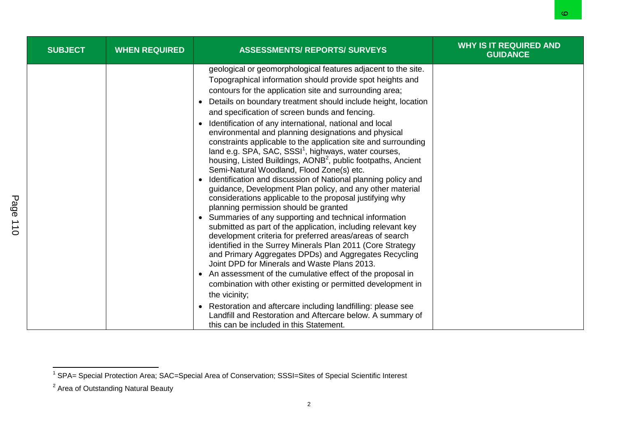| <b>SUBJECT</b> | <b>WHEN REQUIRED</b> | <b>ASSESSMENTS/ REPORTS/ SURVEYS</b>                                                                                                                                                                                                                                                                                                                                                                                                                                                                                                                                                                                                                                                                                                                                                                                                                                                                                                                                                                                                                                                                                                                                                                                                                                                                                                                                                                                                                                                                                                                                                                                          | <b>WHY IS IT REQUIRED AND</b><br><b>GUIDANCE</b> |
|----------------|----------------------|-------------------------------------------------------------------------------------------------------------------------------------------------------------------------------------------------------------------------------------------------------------------------------------------------------------------------------------------------------------------------------------------------------------------------------------------------------------------------------------------------------------------------------------------------------------------------------------------------------------------------------------------------------------------------------------------------------------------------------------------------------------------------------------------------------------------------------------------------------------------------------------------------------------------------------------------------------------------------------------------------------------------------------------------------------------------------------------------------------------------------------------------------------------------------------------------------------------------------------------------------------------------------------------------------------------------------------------------------------------------------------------------------------------------------------------------------------------------------------------------------------------------------------------------------------------------------------------------------------------------------------|--------------------------------------------------|
|                |                      | geological or geomorphological features adjacent to the site.<br>Topographical information should provide spot heights and<br>contours for the application site and surrounding area;<br>Details on boundary treatment should include height, location<br>and specification of screen bunds and fencing.<br>Identification of any international, national and local<br>environmental and planning designations and physical<br>constraints applicable to the application site and surrounding<br>land e.g. SPA, SAC, SSSI <sup>1</sup> , highways, water courses,<br>housing, Listed Buildings, AONB <sup>2</sup> , public footpaths, Ancient<br>Semi-Natural Woodland, Flood Zone(s) etc.<br>Identification and discussion of National planning policy and<br>guidance, Development Plan policy, and any other material<br>considerations applicable to the proposal justifying why<br>planning permission should be granted<br>• Summaries of any supporting and technical information<br>submitted as part of the application, including relevant key<br>development criteria for preferred areas/areas of search<br>identified in the Surrey Minerals Plan 2011 (Core Strategy<br>and Primary Aggregates DPDs) and Aggregates Recycling<br>Joint DPD for Minerals and Waste Plans 2013.<br>An assessment of the cumulative effect of the proposal in<br>combination with other existing or permitted development in<br>the vicinity;<br>Restoration and aftercare including landfilling: please see<br>$\bullet$<br>Landfill and Restoration and Aftercare below. A summary of<br>this can be included in this Statement. |                                                  |

\_\_\_\_\_\_\_\_\_\_\_\_\_\_\_\_\_\_\_\_\_\_\_\_\_\_\_\_\_\_\_\_\_\_\_\_<br><sup>1</sup> SPA= Special Protection Area; SAC=Special Area of Conservation; SSSI=Sites of Special Scientific Interest

 $2$  Area of Outstanding Natural Beauty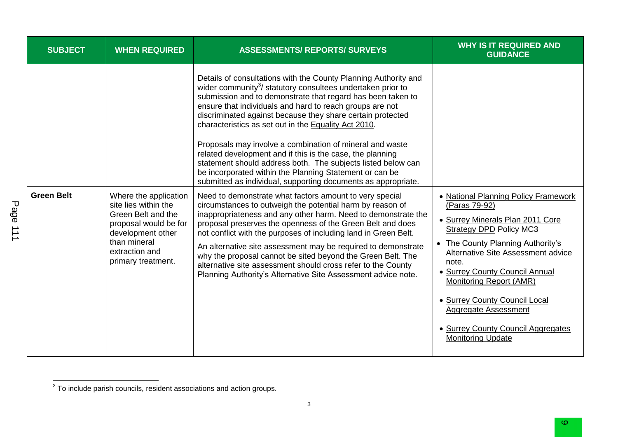| <b>SUBJECT</b>    | <b>WHEN REQUIRED</b>                                                                                                                                                      | <b>ASSESSMENTS/ REPORTS/ SURVEYS</b>                                                                                                                                                                                                                                                                                                                                                                                                                                                                                                                                                                                                                     | <b>WHY IS IT REQUIRED AND</b><br><b>GUIDANCE</b>                                                                                                                                                                                                                                                                                                                                                      |
|-------------------|---------------------------------------------------------------------------------------------------------------------------------------------------------------------------|----------------------------------------------------------------------------------------------------------------------------------------------------------------------------------------------------------------------------------------------------------------------------------------------------------------------------------------------------------------------------------------------------------------------------------------------------------------------------------------------------------------------------------------------------------------------------------------------------------------------------------------------------------|-------------------------------------------------------------------------------------------------------------------------------------------------------------------------------------------------------------------------------------------------------------------------------------------------------------------------------------------------------------------------------------------------------|
|                   |                                                                                                                                                                           | Details of consultations with the County Planning Authority and<br>wider community <sup>3</sup> / statutory consultees undertaken prior to<br>submission and to demonstrate that regard has been taken to<br>ensure that individuals and hard to reach groups are not<br>discriminated against because they share certain protected<br>characteristics as set out in the Equality Act 2010.<br>Proposals may involve a combination of mineral and waste<br>related development and if this is the case, the planning<br>statement should address both. The subjects listed below can<br>be incorporated within the Planning Statement or can be          |                                                                                                                                                                                                                                                                                                                                                                                                       |
| <b>Green Belt</b> | Where the application<br>site lies within the<br>Green Belt and the<br>proposal would be for<br>development other<br>than mineral<br>extraction and<br>primary treatment. | submitted as individual, supporting documents as appropriate.<br>Need to demonstrate what factors amount to very special<br>circumstances to outweigh the potential harm by reason of<br>inappropriateness and any other harm. Need to demonstrate the<br>proposal preserves the openness of the Green Belt and does<br>not conflict with the purposes of including land in Green Belt.<br>An alternative site assessment may be required to demonstrate<br>why the proposal cannot be sited beyond the Green Belt. The<br>alternative site assessment should cross refer to the County<br>Planning Authority's Alternative Site Assessment advice note. | • National Planning Policy Framework<br>(Paras 79-92)<br>• Surrey Minerals Plan 2011 Core<br><b>Strategy DPD Policy MC3</b><br>The County Planning Authority's<br>Alternative Site Assessment advice<br>note.<br>• Surrey County Council Annual<br>Monitoring Report (AMR)<br>• Surrey County Council Local<br>Aggregate Assessment<br>• Surrey County Council Aggregates<br><b>Monitoring Update</b> |

Page 111

 3 To include parish councils, resident associations and action groups.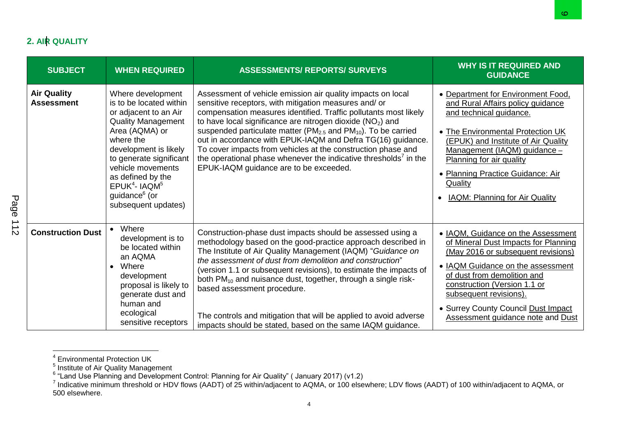# **2. AIR QUALITY**

|               |                                         |                                                                                                                                                                                                                                                                                                                    |                                                                                                                                                                                                                                                                                                                                                                                                                                                                                                                                                                                        | ∞                                                                                                                                                                                                                                                                                                                                   |
|---------------|-----------------------------------------|--------------------------------------------------------------------------------------------------------------------------------------------------------------------------------------------------------------------------------------------------------------------------------------------------------------------|----------------------------------------------------------------------------------------------------------------------------------------------------------------------------------------------------------------------------------------------------------------------------------------------------------------------------------------------------------------------------------------------------------------------------------------------------------------------------------------------------------------------------------------------------------------------------------------|-------------------------------------------------------------------------------------------------------------------------------------------------------------------------------------------------------------------------------------------------------------------------------------------------------------------------------------|
|               | 2. AIR QUALITY                          |                                                                                                                                                                                                                                                                                                                    |                                                                                                                                                                                                                                                                                                                                                                                                                                                                                                                                                                                        |                                                                                                                                                                                                                                                                                                                                     |
|               | <b>SUBJECT</b>                          | <b>WHEN REQUIRED</b>                                                                                                                                                                                                                                                                                               | <b>ASSESSMENTS/ REPORTS/ SURVEYS</b>                                                                                                                                                                                                                                                                                                                                                                                                                                                                                                                                                   | <b>WHY IS IT REQUIRED AND</b><br><b>GUIDANCE</b>                                                                                                                                                                                                                                                                                    |
| Page          | <b>Air Quality</b><br><b>Assessment</b> | Where development<br>is to be located within<br>or adjacent to an Air<br><b>Quality Management</b><br>Area (AQMA) or<br>where the<br>development is likely<br>to generate significant<br>vehicle movements<br>as defined by the<br>$EPUK4$ - IAQM <sup>5</sup><br>guidance <sup>6</sup> (or<br>subsequent updates) | Assessment of vehicle emission air quality impacts on local<br>sensitive receptors, with mitigation measures and/ or<br>compensation measures identified. Traffic pollutants most likely<br>to have local significance are nitrogen dioxide $(NO2)$ and<br>suspended particulate matter ( $PM2.5$ and $PM10$ ). To be carried<br>out in accordance with EPUK-IAQM and Defra TG(16) guidance.<br>To cover impacts from vehicles at the construction phase and<br>the operational phase whenever the indicative thresholds <sup>7</sup> in the<br>EPUK-IAQM guidance are to be exceeded. | • Department for Environment Food,<br>and Rural Affairs policy guidance<br>and technical guidance.<br>• The Environmental Protection UK<br>(EPUK) and Institute of Air Quality<br>Management (IAQM) guidance -<br>Planning for air quality<br>• Planning Practice Guidance: Air<br>Quality<br><b>IAQM: Planning for Air Quality</b> |
| $\frac{1}{2}$ | <b>Construction Dust</b>                | • Where<br>development is to<br>be located within<br>an AQMA<br>Where<br>$\bullet$<br>development<br>proposal is likely to<br>generate dust and<br>human and<br>ecological<br>sensitive receptors                                                                                                                  | Construction-phase dust impacts should be assessed using a<br>methodology based on the good-practice approach described in<br>The Institute of Air Quality Management (IAQM) "Guidance on<br>the assessment of dust from demolition and construction"<br>(version 1.1 or subsequent revisions), to estimate the impacts of<br>both PM <sub>10</sub> and nuisance dust, together, through a single risk-<br>based assessment procedure.<br>The controls and mitigation that will be applied to avoid adverse<br>impacts should be stated, based on the same IAQM guidance.              | • IAQM, Guidance on the Assessment<br>of Mineral Dust Impacts for Planning<br>(May 2016 or subsequent revisions)<br>• IAQM Guidance on the assessment<br>of dust from demolition and<br>construction (Version 1.1 or<br>subsequent revisions).<br>• Surrey County Council Dust Impact<br>Assessment guidance note and Dust          |

<sup>&</sup>lt;sup>4</sup> Environmental Protection UK<br><sup>5</sup> Institute of Air Quality Management<br><sup>6</sup> "Land Use Planning and Development Control: Planning for Air Quality" ( January 2017) (v1.2)<br><sup>7</sup> Indicative minimum threshold or HDV flows (AADT) 500 elsewhere.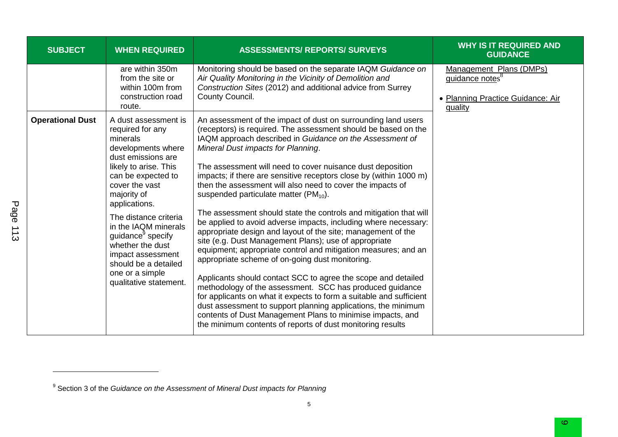| <b>SUBJECT</b>          | <b>WHEN REQUIRED</b>                                                                                                                                                                                                                                                                                                                                                                              | <b>ASSESSMENTS/ REPORTS/ SURVEYS</b>                                                                                                                                                                                                                                                                                                                                                                                                                                                                                                                                                                                                                                                                                                                                                                                                                                                                                                                                                                                                                                                                                                                                                                                                                                     | <b>WHY IS IT REQUIRED AND</b><br><b>GUIDANCE</b>                                                       |
|-------------------------|---------------------------------------------------------------------------------------------------------------------------------------------------------------------------------------------------------------------------------------------------------------------------------------------------------------------------------------------------------------------------------------------------|--------------------------------------------------------------------------------------------------------------------------------------------------------------------------------------------------------------------------------------------------------------------------------------------------------------------------------------------------------------------------------------------------------------------------------------------------------------------------------------------------------------------------------------------------------------------------------------------------------------------------------------------------------------------------------------------------------------------------------------------------------------------------------------------------------------------------------------------------------------------------------------------------------------------------------------------------------------------------------------------------------------------------------------------------------------------------------------------------------------------------------------------------------------------------------------------------------------------------------------------------------------------------|--------------------------------------------------------------------------------------------------------|
|                         | are within 350m<br>from the site or<br>within 100m from<br>construction road<br>route.                                                                                                                                                                                                                                                                                                            | Monitoring should be based on the separate IAQM Guidance on<br>Air Quality Monitoring in the Vicinity of Demolition and<br>Construction Sites (2012) and additional advice from Surrey<br>County Council.                                                                                                                                                                                                                                                                                                                                                                                                                                                                                                                                                                                                                                                                                                                                                                                                                                                                                                                                                                                                                                                                | Management Plans (DMPs)<br>guidance notes <sup>8</sup><br>• Planning Practice Guidance: Air<br>quality |
| <b>Operational Dust</b> | A dust assessment is<br>required for any<br>minerals<br>developments where<br>dust emissions are<br>likely to arise. This<br>can be expected to<br>cover the vast<br>majority of<br>applications.<br>The distance criteria<br>in the IAQM minerals<br>guidance <sup>9</sup> specify<br>whether the dust<br>impact assessment<br>should be a detailed<br>one or a simple<br>qualitative statement. | An assessment of the impact of dust on surrounding land users<br>(receptors) is required. The assessment should be based on the<br>IAQM approach described in Guidance on the Assessment of<br>Mineral Dust impacts for Planning.<br>The assessment will need to cover nuisance dust deposition<br>impacts; if there are sensitive receptors close by (within 1000 m)<br>then the assessment will also need to cover the impacts of<br>suspended particulate matter $(PM_{10})$ .<br>The assessment should state the controls and mitigation that will<br>be applied to avoid adverse impacts, including where necessary:<br>appropriate design and layout of the site; management of the<br>site (e.g. Dust Management Plans); use of appropriate<br>equipment; appropriate control and mitigation measures; and an<br>appropriate scheme of on-going dust monitoring.<br>Applicants should contact SCC to agree the scope and detailed<br>methodology of the assessment. SCC has produced guidance<br>for applicants on what it expects to form a suitable and sufficient<br>dust assessment to support planning applications, the minimum<br>contents of Dust Management Plans to minimise impacts, and<br>the minimum contents of reports of dust monitoring results |                                                                                                        |

<sup>&</sup>lt;sup>9</sup> Section 3 of the *Guidance on the Assessment of Mineral Dust impacts for Planning*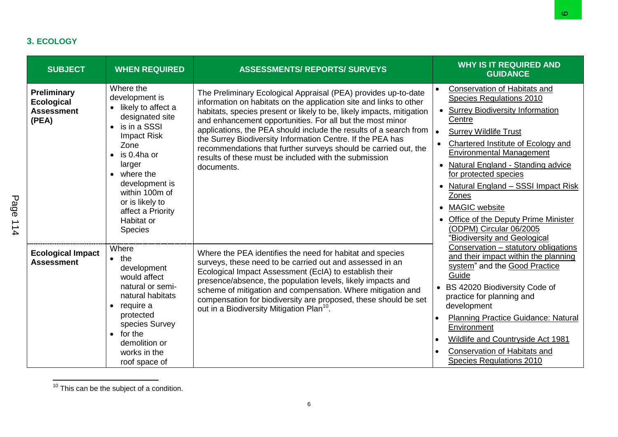# **3. ECOLOGY**

| <b>SUBJECT</b>                                                 | <b>WHEN REQUIRED</b>                                                                                                                                                                                                                                                                                       | <b>ASSESSMENTS/ REPORTS/ SURVEYS</b>                                                                                                                                                                                                                                                                                                                                                                                                                                                                                                                    | <b>WHY IS IT REQUIRED AND</b><br><b>GUIDANCE</b>                                                                                                                                                                                                                                                                                                                                                                                                                                                                                                  |
|----------------------------------------------------------------|------------------------------------------------------------------------------------------------------------------------------------------------------------------------------------------------------------------------------------------------------------------------------------------------------------|---------------------------------------------------------------------------------------------------------------------------------------------------------------------------------------------------------------------------------------------------------------------------------------------------------------------------------------------------------------------------------------------------------------------------------------------------------------------------------------------------------------------------------------------------------|---------------------------------------------------------------------------------------------------------------------------------------------------------------------------------------------------------------------------------------------------------------------------------------------------------------------------------------------------------------------------------------------------------------------------------------------------------------------------------------------------------------------------------------------------|
| Preliminary<br><b>Ecological</b><br><b>Assessment</b><br>(PEA) | Where the<br>development is<br>• likely to affect a<br>designated site<br>is in a SSSI<br>$\bullet$<br><b>Impact Risk</b><br>Zone<br>is 0.4ha or<br>$\bullet$<br>larger<br>$\bullet$ where the<br>development is<br>within 100m of<br>or is likely to<br>affect a Priority<br>Habitat or<br><b>Species</b> | The Preliminary Ecological Appraisal (PEA) provides up-to-date<br>information on habitats on the application site and links to other<br>habitats, species present or likely to be, likely impacts, mitigation<br>and enhancement opportunities. For all but the most minor<br>applications, the PEA should include the results of a search from<br>the Surrey Biodiversity Information Centre. If the PEA has<br>recommendations that further surveys should be carried out, the<br>results of these must be included with the submission<br>documents. | <b>Conservation of Habitats and</b><br>Species Regulations 2010<br><b>Surrey Biodiversity Information</b><br>$\bullet$<br>Centre<br>$\bullet$<br><b>Surrey Wildlife Trust</b><br>$\bullet$<br>Chartered Institute of Ecology and<br><b>Environmental Management</b><br>Natural England - Standing advice<br>$\bullet$<br>for protected species<br>Natural England - SSSI Impact Risk<br>$\bullet$<br>Zones<br><b>MAGIC</b> website<br>$\bullet$<br>Office of the Deputy Prime Minister<br>(ODPM) Circular 06/2005<br>"Biodiversity and Geological |
| <b>Ecological Impact</b><br><b>Assessment</b>                  | Where<br>$\bullet$ the<br>development<br>would affect<br>natural or semi-<br>natural habitats<br>$\bullet$ require a<br>protected<br>species Survey<br>for the<br>$\bullet$<br>demolition or<br>works in the<br>roof space of                                                                              | Where the PEA identifies the need for habitat and species<br>surveys, these need to be carried out and assessed in an<br>Ecological Impact Assessment (EcIA) to establish their<br>presence/absence, the population levels, likely impacts and<br>scheme of mitigation and compensation. Where mitigation and<br>compensation for biodiversity are proposed, these should be set<br>out in a Biodiversity Mitigation Plan <sup>10</sup> .                                                                                                               | Conservation - statutory obligations<br>and their impact within the planning<br>system" and the Good Practice<br>Guide<br>• BS 42020 Biodiversity Code of<br>practice for planning and<br>development<br><b>Planning Practice Guidance: Natural</b><br>Environment<br>Wildlife and Countryside Act 1981<br>Conservation of Habitats and<br>Species Regulations 2010                                                                                                                                                                               |

 $\overline{a}$  $10$  This can be the subject of a condition.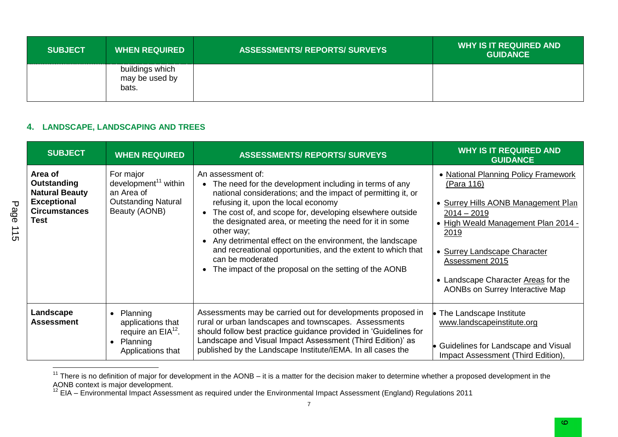| <b>SUBJECT</b> | <b>WHEN REQUIRED</b>                       | <b>ASSESSMENTS/ REPORTS/ SURVEYS</b> | <b>WHY IS IT REQUIRED AND</b><br><b>GUIDANCE</b> |
|----------------|--------------------------------------------|--------------------------------------|--------------------------------------------------|
|                | buildings which<br>may be used by<br>bats. |                                      |                                                  |

### **4. LANDSCAPE, LANDSCAPING AND TREES**

| <b>SUBJECT</b>                                                                                               | <b>WHEN REQUIRED</b>                                                                                             | <b>ASSESSMENTS/ REPORTS/ SURVEYS</b>                                                                                                                                                                                                                                                                                                                                                                                                                                                                                                     | <b>WHY IS IT REQUIRED AND</b><br><b>GUIDANCE</b>                                                                                                                                                                                                                                              |
|--------------------------------------------------------------------------------------------------------------|------------------------------------------------------------------------------------------------------------------|------------------------------------------------------------------------------------------------------------------------------------------------------------------------------------------------------------------------------------------------------------------------------------------------------------------------------------------------------------------------------------------------------------------------------------------------------------------------------------------------------------------------------------------|-----------------------------------------------------------------------------------------------------------------------------------------------------------------------------------------------------------------------------------------------------------------------------------------------|
| Area of<br>Outstanding<br><b>Natural Beauty</b><br><b>Exceptional</b><br><b>Circumstances</b><br><b>Test</b> | For major<br>development <sup>11</sup> within<br>an Area of<br><b>Outstanding Natural</b><br>Beauty (AONB)       | An assessment of:<br>• The need for the development including in terms of any<br>national considerations; and the impact of permitting it, or<br>refusing it, upon the local economy<br>• The cost of, and scope for, developing elsewhere outside<br>the designated area, or meeting the need for it in some<br>other way;<br>• Any detrimental effect on the environment, the landscape<br>and recreational opportunities, and the extent to which that<br>can be moderated<br>• The impact of the proposal on the setting of the AONB | • National Planning Policy Framework<br>(Para 116)<br>• Surrey Hills AONB Management Plan<br>$2014 - 2019$<br>• High Weald Management Plan 2014 -<br>2019<br>• Surrey Landscape Character<br><b>Assessment 2015</b><br>• Landscape Character Areas for the<br>AONBs on Surrey Interactive Map |
| Landscape<br><b>Assessment</b>                                                                               | Planning<br>$\bullet$<br>applications that<br>require an $EIA12$ .<br>Planning<br>$\bullet$<br>Applications that | Assessments may be carried out for developments proposed in<br>rural or urban landscapes and townscapes. Assessments<br>should follow best practice guidance provided in 'Guidelines for<br>Landscape and Visual Impact Assessment (Third Edition)' as<br>published by the Landscape Institute/IEMA. In all cases the                                                                                                                                                                                                                    | The Landscape Institute<br>www.landscapeinstitute.org<br>Guidelines for Landscape and Visual<br>Impact Assessment (Third Edition),                                                                                                                                                            |

 $11$  There is no definition of major for development in the AONB – it is a matter for the decision maker to determine whether a proposed development in the AONB context is major development.

 $12$  EIA – Environmental Impact Assessment as required under the Environmental Impact Assessment (England) Regulations 2011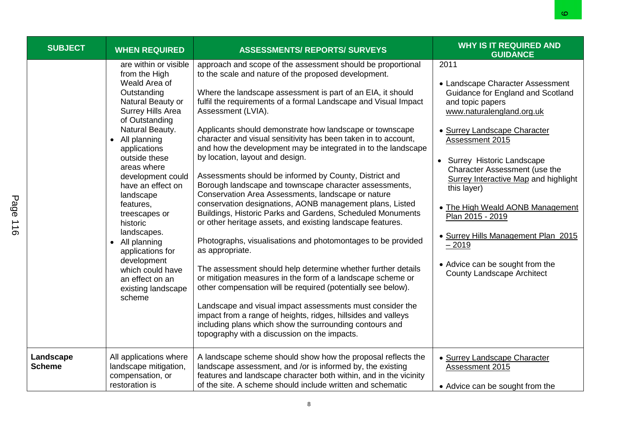|          |                            |                                                                                                                                                                                                                                                                                                                                                                                                                                                                                |                                                                                                                                                                                                                                                                                                                                                                                                                                                                                                                                                                                                                                                                                                                                                                                                                                                                                                                                                                                                                                                                                                                                                                                                                                                                                                                                                                                                            | ∞                                                                                                                                                                                                                                                                                                                                                                                                                                                                                                 |
|----------|----------------------------|--------------------------------------------------------------------------------------------------------------------------------------------------------------------------------------------------------------------------------------------------------------------------------------------------------------------------------------------------------------------------------------------------------------------------------------------------------------------------------|------------------------------------------------------------------------------------------------------------------------------------------------------------------------------------------------------------------------------------------------------------------------------------------------------------------------------------------------------------------------------------------------------------------------------------------------------------------------------------------------------------------------------------------------------------------------------------------------------------------------------------------------------------------------------------------------------------------------------------------------------------------------------------------------------------------------------------------------------------------------------------------------------------------------------------------------------------------------------------------------------------------------------------------------------------------------------------------------------------------------------------------------------------------------------------------------------------------------------------------------------------------------------------------------------------------------------------------------------------------------------------------------------------|---------------------------------------------------------------------------------------------------------------------------------------------------------------------------------------------------------------------------------------------------------------------------------------------------------------------------------------------------------------------------------------------------------------------------------------------------------------------------------------------------|
|          |                            |                                                                                                                                                                                                                                                                                                                                                                                                                                                                                |                                                                                                                                                                                                                                                                                                                                                                                                                                                                                                                                                                                                                                                                                                                                                                                                                                                                                                                                                                                                                                                                                                                                                                                                                                                                                                                                                                                                            |                                                                                                                                                                                                                                                                                                                                                                                                                                                                                                   |
|          | <b>SUBJECT</b>             | <b>WHEN REQUIRED</b>                                                                                                                                                                                                                                                                                                                                                                                                                                                           | <b>ASSESSMENTS/ REPORTS/ SURVEYS</b>                                                                                                                                                                                                                                                                                                                                                                                                                                                                                                                                                                                                                                                                                                                                                                                                                                                                                                                                                                                                                                                                                                                                                                                                                                                                                                                                                                       | <b>WHY IS IT REQUIRED AND</b><br><b>GUIDANCE</b>                                                                                                                                                                                                                                                                                                                                                                                                                                                  |
| Page 116 |                            | are within or visible<br>from the High<br>Weald Area of<br>Outstanding<br>Natural Beauty or<br>Surrey Hills Area<br>of Outstanding<br>Natural Beauty.<br>All planning<br>$\bullet$<br>applications<br>outside these<br>areas where<br>development could<br>have an effect on<br>landscape<br>features,<br>treescapes or<br>historic<br>landscapes.<br>• All planning<br>applications for<br>development<br>which could have<br>an effect on an<br>existing landscape<br>scheme | approach and scope of the assessment should be proportional<br>to the scale and nature of the proposed development.<br>Where the landscape assessment is part of an EIA, it should<br>fulfil the requirements of a formal Landscape and Visual Impact<br>Assessment (LVIA).<br>Applicants should demonstrate how landscape or townscape<br>character and visual sensitivity has been taken in to account,<br>and how the development may be integrated in to the landscape<br>by location, layout and design.<br>Assessments should be informed by County, District and<br>Borough landscape and townscape character assessments,<br>Conservation Area Assessments, landscape or nature<br>conservation designations, AONB management plans, Listed<br>Buildings, Historic Parks and Gardens, Scheduled Monuments<br>or other heritage assets, and existing landscape features.<br>Photographs, visualisations and photomontages to be provided<br>as appropriate.<br>The assessment should help determine whether further details<br>or mitigation measures in the form of a landscape scheme or<br>other compensation will be required (potentially see below).<br>Landscape and visual impact assessments must consider the<br>impact from a range of heights, ridges, hillsides and valleys<br>including plans which show the surrounding contours and<br>topography with a discussion on the impacts. | 2011<br>• Landscape Character Assessment<br>Guidance for England and Scotland<br>and topic papers<br>www.naturalengland.org.uk<br>· Surrey Landscape Character<br>Assessment 2015<br>• Surrey Historic Landscape<br>Character Assessment (use the<br><b>Surrey Interactive Map and highlight</b><br>this layer)<br>• The High Weald AONB Management<br>Plan 2015 - 2019<br>• Surrey Hills Management Plan 2015<br>$-2019$<br>• Advice can be sought from the<br><b>County Landscape Architect</b> |
|          | Landscape<br><b>Scheme</b> | All applications where<br>landscape mitigation,<br>compensation, or<br>restoration is                                                                                                                                                                                                                                                                                                                                                                                          | A landscape scheme should show how the proposal reflects the<br>landscape assessment, and /or is informed by, the existing<br>features and landscape character both within, and in the vicinity<br>of the site. A scheme should include written and schematic                                                                                                                                                                                                                                                                                                                                                                                                                                                                                                                                                                                                                                                                                                                                                                                                                                                                                                                                                                                                                                                                                                                                              | · Surrey Landscape Character<br>Assessment 2015<br>• Advice can be sought from the                                                                                                                                                                                                                                                                                                                                                                                                                |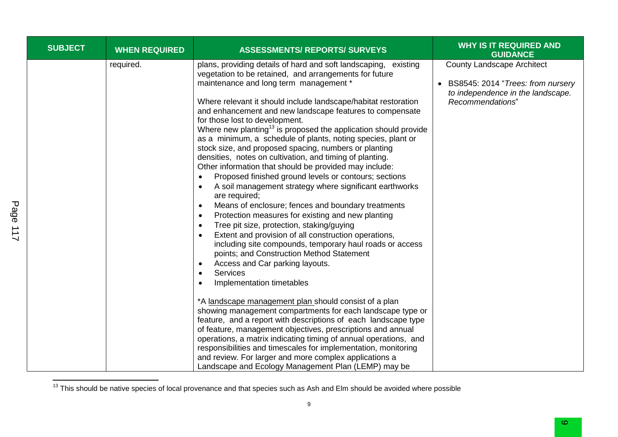| <b>SUBJECT</b> | <b>WHEN REQUIRED</b> | <b>ASSESSMENTS/ REPORTS/ SURVEYS</b>                                                                                                                                                                                                                                                                                                                                                                                                                                                                                                                                                                                                                                                                                                                                                                                                                                                                                                                                                                                                                                                                                                                                                                                                                                        | <b>WHY IS IT REQUIRED AND</b><br><b>GUIDANCE</b>                                                                                |
|----------------|----------------------|-----------------------------------------------------------------------------------------------------------------------------------------------------------------------------------------------------------------------------------------------------------------------------------------------------------------------------------------------------------------------------------------------------------------------------------------------------------------------------------------------------------------------------------------------------------------------------------------------------------------------------------------------------------------------------------------------------------------------------------------------------------------------------------------------------------------------------------------------------------------------------------------------------------------------------------------------------------------------------------------------------------------------------------------------------------------------------------------------------------------------------------------------------------------------------------------------------------------------------------------------------------------------------|---------------------------------------------------------------------------------------------------------------------------------|
|                | required.            | plans, providing details of hard and soft landscaping, existing<br>vegetation to be retained, and arrangements for future<br>maintenance and long term management *<br>Where relevant it should include landscape/habitat restoration<br>and enhancement and new landscape features to compensate<br>for those lost to development.<br>Where new planting <sup>13</sup> is proposed the application should provide<br>as a minimum, a schedule of plants, noting species, plant or<br>stock size, and proposed spacing, numbers or planting<br>densities, notes on cultivation, and timing of planting.<br>Other information that should be provided may include:<br>Proposed finished ground levels or contours; sections<br>A soil management strategy where significant earthworks<br>are required;<br>Means of enclosure; fences and boundary treatments<br>$\bullet$<br>Protection measures for existing and new planting<br>$\bullet$<br>Tree pit size, protection, staking/guying<br>٠<br>Extent and provision of all construction operations,<br>including site compounds, temporary haul roads or access<br>points; and Construction Method Statement<br>Access and Car parking layouts.<br>$\bullet$<br><b>Services</b><br>$\bullet$<br>Implementation timetables | <b>County Landscape Architect</b><br>BS8545: 2014 "Trees: from nursery<br>to independence in the landscape.<br>Recommendations" |
|                |                      | *A landscape management plan should consist of a plan<br>showing management compartments for each landscape type or<br>feature, and a report with descriptions of each landscape type<br>of feature, management objectives, prescriptions and annual<br>operations, a matrix indicating timing of annual operations, and<br>responsibilities and timescales for implementation, monitoring<br>and review. For larger and more complex applications a<br>Landscape and Ecology Management Plan (LEMP) may be                                                                                                                                                                                                                                                                                                                                                                                                                                                                                                                                                                                                                                                                                                                                                                 |                                                                                                                                 |

 $13$  This should be native species of local provenance and that species such as Ash and Elm should be avoided where possible

Page 117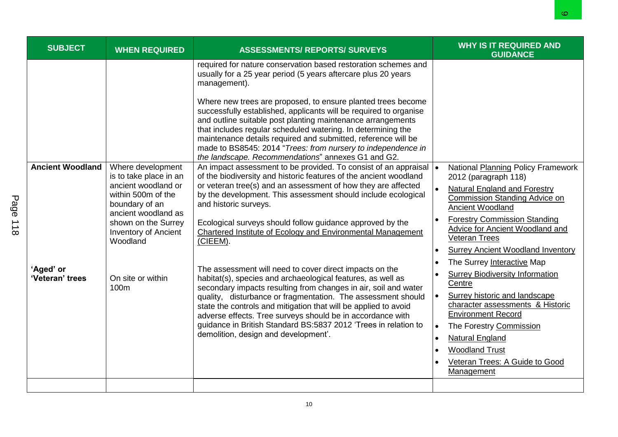|                     |                                      |                                                                                                                                                                                                     |                                                                                                                                                                                                                                                                                                                                                                                                                                                                                                                                                                                                            |                                                  | ဖ                                                                                                                                                                                                                                                                                                                                                |
|---------------------|--------------------------------------|-----------------------------------------------------------------------------------------------------------------------------------------------------------------------------------------------------|------------------------------------------------------------------------------------------------------------------------------------------------------------------------------------------------------------------------------------------------------------------------------------------------------------------------------------------------------------------------------------------------------------------------------------------------------------------------------------------------------------------------------------------------------------------------------------------------------------|--------------------------------------------------|--------------------------------------------------------------------------------------------------------------------------------------------------------------------------------------------------------------------------------------------------------------------------------------------------------------------------------------------------|
|                     | <b>SUBJECT</b>                       | <b>WHEN REQUIRED</b>                                                                                                                                                                                | <b>ASSESSMENTS/ REPORTS/ SURVEYS</b>                                                                                                                                                                                                                                                                                                                                                                                                                                                                                                                                                                       |                                                  | <b>WHY IS IT REQUIRED AND</b><br><b>GUIDANCE</b>                                                                                                                                                                                                                                                                                                 |
|                     |                                      |                                                                                                                                                                                                     | required for nature conservation based restoration schemes and<br>usually for a 25 year period (5 years aftercare plus 20 years<br>management).<br>Where new trees are proposed, to ensure planted trees become<br>successfully established, applicants will be required to organise<br>and outline suitable post planting maintenance arrangements<br>that includes regular scheduled watering. In determining the<br>maintenance details required and submitted, reference will be<br>made to BS8545: 2014 "Trees: from nursery to independence in<br>the landscape. Recommendations" annexes G1 and G2. |                                                  |                                                                                                                                                                                                                                                                                                                                                  |
| Page<br>$rac{1}{8}$ | <b>Ancient Woodland</b><br>'Aged' or | Where development<br>is to take place in an<br>ancient woodland or<br>within 500m of the<br>boundary of an<br>ancient woodland as<br>shown on the Surrey<br><b>Inventory of Ancient</b><br>Woodland | An impact assessment to be provided. To consist of an appraisal<br>of the biodiversity and historic features of the ancient woodland<br>or veteran tree(s) and an assessment of how they are affected<br>by the development. This assessment should include ecological<br>and historic surveys.<br>Ecological surveys should follow guidance approved by the<br>Chartered Institute of Ecology and Environmental Management<br>(CIEEM).                                                                                                                                                                    | $\bullet$                                        | National Planning Policy Framework<br>2012 (paragraph 118)<br><b>Natural England and Forestry</b><br><b>Commission Standing Advice on</b><br><b>Ancient Woodland</b><br><b>Forestry Commission Standing</b><br>Advice for Ancient Woodland and<br><b>Veteran Trees</b><br><b>Surrey Ancient Woodland Inventory</b><br>The Surrey Interactive Map |
|                     | 'Veteran' trees                      | On site or within<br>100m                                                                                                                                                                           | The assessment will need to cover direct impacts on the<br>habitat(s), species and archaeological features, as well as<br>secondary impacts resulting from changes in air, soil and water<br>quality, disturbance or fragmentation. The assessment should<br>state the controls and mitigation that will be applied to avoid<br>adverse effects. Tree surveys should be in accordance with<br>guidance in British Standard BS:5837 2012 'Trees in relation to<br>demolition, design and development'.                                                                                                      | $\bullet$<br>$\bullet$<br>$\bullet$<br>$\bullet$ | <b>Surrey Biodiversity Information</b><br>Centre<br>Surrey historic and landscape<br>character assessments & Historic<br><b>Environment Record</b><br>The Forestry Commission<br><b>Natural England</b><br><b>Woodland Trust</b><br>Veteran Trees: A Guide to Good<br>Management                                                                 |
|                     |                                      |                                                                                                                                                                                                     |                                                                                                                                                                                                                                                                                                                                                                                                                                                                                                                                                                                                            |                                                  |                                                                                                                                                                                                                                                                                                                                                  |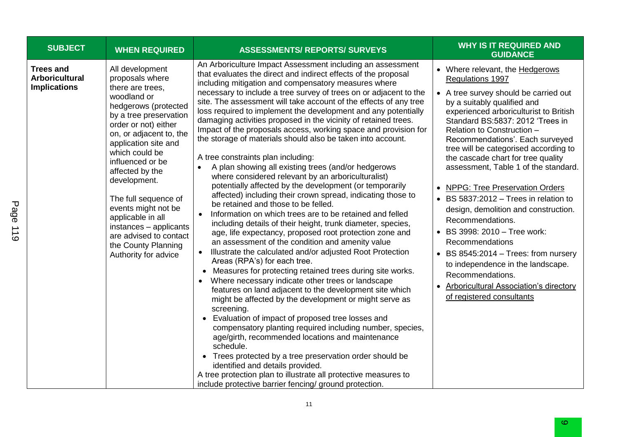| <b>SUBJECT</b>                                            | <b>WHEN REQUIRED</b>                                                                                                                                                                                                                                                                                                                                                                                                                               | <b>ASSESSMENTS/ REPORTS/ SURVEYS</b>                                                                                                                                                                                                                                                                                                                                                                                                                                                                                                                                                                                                                                                                                                                                                                                                                                                                                                                                                                                                                                                                                                                                                                                                                                                                                                                                                                                                                                                                                                                                                                                                                                                                                                                                                                                                                                                                                                                                                                               | <b>WHY IS IT REQUIRED AND</b><br><b>GUIDANCE</b>                                                                                                                                                                                                                                                                                                                                                                                                                                                                                                                                                                                                                                                                                                                                    |
|-----------------------------------------------------------|----------------------------------------------------------------------------------------------------------------------------------------------------------------------------------------------------------------------------------------------------------------------------------------------------------------------------------------------------------------------------------------------------------------------------------------------------|--------------------------------------------------------------------------------------------------------------------------------------------------------------------------------------------------------------------------------------------------------------------------------------------------------------------------------------------------------------------------------------------------------------------------------------------------------------------------------------------------------------------------------------------------------------------------------------------------------------------------------------------------------------------------------------------------------------------------------------------------------------------------------------------------------------------------------------------------------------------------------------------------------------------------------------------------------------------------------------------------------------------------------------------------------------------------------------------------------------------------------------------------------------------------------------------------------------------------------------------------------------------------------------------------------------------------------------------------------------------------------------------------------------------------------------------------------------------------------------------------------------------------------------------------------------------------------------------------------------------------------------------------------------------------------------------------------------------------------------------------------------------------------------------------------------------------------------------------------------------------------------------------------------------------------------------------------------------------------------------------------------------|-------------------------------------------------------------------------------------------------------------------------------------------------------------------------------------------------------------------------------------------------------------------------------------------------------------------------------------------------------------------------------------------------------------------------------------------------------------------------------------------------------------------------------------------------------------------------------------------------------------------------------------------------------------------------------------------------------------------------------------------------------------------------------------|
| Trees and<br><b>Arboricultural</b><br><b>Implications</b> | All development<br>proposals where<br>there are trees,<br>woodland or<br>hedgerows (protected<br>by a tree preservation<br>order or not) either<br>on, or adjacent to, the<br>application site and<br>which could be<br>influenced or be<br>affected by the<br>development.<br>The full sequence of<br>events might not be<br>applicable in all<br>instances - applicants<br>are advised to contact<br>the County Planning<br>Authority for advice | An Arboriculture Impact Assessment including an assessment<br>that evaluates the direct and indirect effects of the proposal<br>including mitigation and compensatory measures where<br>necessary to include a tree survey of trees on or adjacent to the<br>site. The assessment will take account of the effects of any tree<br>loss required to implement the development and any potentially<br>damaging activities proposed in the vicinity of retained trees.<br>Impact of the proposals access, working space and provision for<br>the storage of materials should also be taken into account.<br>A tree constraints plan including:<br>A plan showing all existing trees (and/or hedgerows<br>$\bullet$<br>where considered relevant by an arboriculturalist)<br>potentially affected by the development (or temporarily<br>affected) including their crown spread, indicating those to<br>be retained and those to be felled.<br>Information on which trees are to be retained and felled<br>$\bullet$<br>including details of their height, trunk diameter, species,<br>age, life expectancy, proposed root protection zone and<br>an assessment of the condition and amenity value<br>Illustrate the calculated and/or adjusted Root Protection<br>$\bullet$<br>Areas (RPA's) for each tree.<br>Measures for protecting retained trees during site works.<br>$\bullet$<br>Where necessary indicate other trees or landscape<br>$\bullet$<br>features on land adjacent to the development site which<br>might be affected by the development or might serve as<br>screening.<br>Evaluation of impact of proposed tree losses and<br>$\bullet$<br>compensatory planting required including number, species,<br>age/girth, recommended locations and maintenance<br>schedule.<br>• Trees protected by a tree preservation order should be<br>identified and details provided.<br>A tree protection plan to illustrate all protective measures to<br>include protective barrier fencing/ ground protection. | • Where relevant, the <b>Hedgerows</b><br>Regulations 1997<br>• A tree survey should be carried out<br>by a suitably qualified and<br>experienced arboriculturist to British<br>Standard BS:5837: 2012 'Trees in<br>Relation to Construction -<br>Recommendations'. Each surveyed<br>tree will be categorised according to<br>the cascade chart for tree quality<br>assessment, Table 1 of the standard.<br>• NPPG: Tree Preservation Orders<br>• BS 5837:2012 - Trees in relation to<br>design, demolition and construction.<br>Recommendations.<br>• BS 3998: 2010 - Tree work:<br>Recommendations<br>• BS 8545:2014 - Trees: from nursery<br>to independence in the landscape.<br>Recommendations.<br><b>Arboricultural Association's directory</b><br>of registered consultants |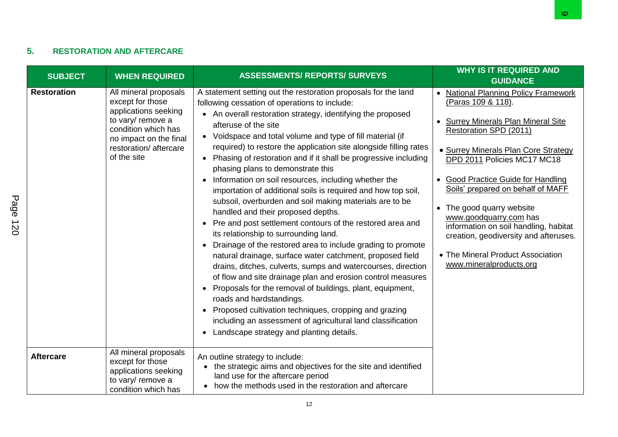### **5. RESTORATION AND AFTERCARE**

| <b>SUBJECT</b>     | <b>WHEN REQUIRED</b>                                                                                                                                                            | <b>ASSESSMENTS/ REPORTS/ SURVEYS</b>                                                                                                                                                                                                                                                                                                                                                                                                                                                                                                                                                                                                                                                                                                                                                                                                                                                                                                                                                                                                                                                                                                                                                                                                                                                                                                                   | <b>WHY IS IT REQUIRED AND</b><br><b>GUIDANCE</b>                                                                                                                                                                                                                                                                                                                                                                                                                                       |
|--------------------|---------------------------------------------------------------------------------------------------------------------------------------------------------------------------------|--------------------------------------------------------------------------------------------------------------------------------------------------------------------------------------------------------------------------------------------------------------------------------------------------------------------------------------------------------------------------------------------------------------------------------------------------------------------------------------------------------------------------------------------------------------------------------------------------------------------------------------------------------------------------------------------------------------------------------------------------------------------------------------------------------------------------------------------------------------------------------------------------------------------------------------------------------------------------------------------------------------------------------------------------------------------------------------------------------------------------------------------------------------------------------------------------------------------------------------------------------------------------------------------------------------------------------------------------------|----------------------------------------------------------------------------------------------------------------------------------------------------------------------------------------------------------------------------------------------------------------------------------------------------------------------------------------------------------------------------------------------------------------------------------------------------------------------------------------|
| <b>Restoration</b> | All mineral proposals<br>except for those<br>applications seeking<br>to vary/ remove a<br>condition which has<br>no impact on the final<br>restoration/aftercare<br>of the site | A statement setting out the restoration proposals for the land<br>following cessation of operations to include:<br>• An overall restoration strategy, identifying the proposed<br>afteruse of the site<br>• Voidspace and total volume and type of fill material (if<br>required) to restore the application site alongside filling rates<br>• Phasing of restoration and if it shall be progressive including<br>phasing plans to demonstrate this<br>Information on soil resources, including whether the<br>importation of additional soils is required and how top soil,<br>subsoil, overburden and soil making materials are to be<br>handled and their proposed depths.<br>• Pre and post settlement contours of the restored area and<br>its relationship to surrounding land.<br>Drainage of the restored area to include grading to promote<br>$\bullet$<br>natural drainage, surface water catchment, proposed field<br>drains, ditches, culverts, sumps and watercourses, direction<br>of flow and site drainage plan and erosion control measures<br>• Proposals for the removal of buildings, plant, equipment,<br>roads and hardstandings.<br>Proposed cultivation techniques, cropping and grazing<br>$\bullet$<br>including an assessment of agricultural land classification<br>Landscape strategy and planting details.<br>$\bullet$ | • National Planning Policy Framework<br>(Paras 109 & 118).<br>• Surrey Minerals Plan Mineral Site<br>Restoration SPD (2011)<br>• Surrey Minerals Plan Core Strategy<br>DPD 2011 Policies MC17 MC18<br>• Good Practice Guide for Handling<br>Soils' prepared on behalf of MAFF<br>• The good quarry website<br>www.goodquarry.com has<br>information on soil handling, habitat<br>creation, geodiversity and afteruses.<br>• The Mineral Product Association<br>www.mineralproducts.org |
| <b>Aftercare</b>   | All mineral proposals<br>except for those<br>applications seeking<br>to vary/ remove a<br>condition which has                                                                   | An outline strategy to include:<br>• the strategic aims and objectives for the site and identified<br>land use for the aftercare period<br>• how the methods used in the restoration and aftercare                                                                                                                                                                                                                                                                                                                                                                                                                                                                                                                                                                                                                                                                                                                                                                                                                                                                                                                                                                                                                                                                                                                                                     |                                                                                                                                                                                                                                                                                                                                                                                                                                                                                        |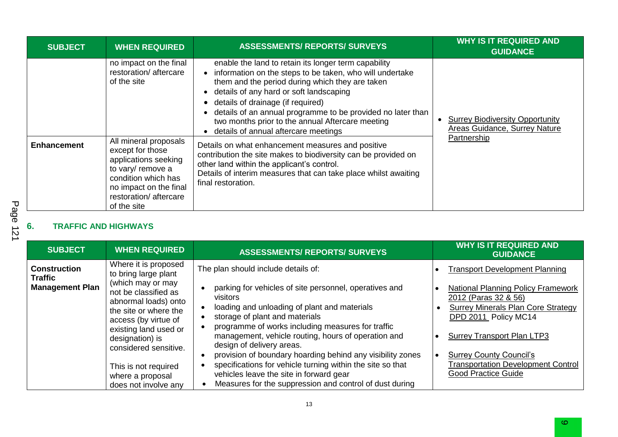| <b>SUBJECT</b>     | <b>WHEN REQUIRED</b>                                                                                                                                                                                                                              | <b>ASSESSMENTS/ REPORTS/ SURVEYS</b>                                                                                                                                                                                                                                                                                                                                                                                                                                                                                                                                                                                                                                         | <b>WHY IS IT REQUIRED AND</b><br><b>GUIDANCE</b>                                       |
|--------------------|---------------------------------------------------------------------------------------------------------------------------------------------------------------------------------------------------------------------------------------------------|------------------------------------------------------------------------------------------------------------------------------------------------------------------------------------------------------------------------------------------------------------------------------------------------------------------------------------------------------------------------------------------------------------------------------------------------------------------------------------------------------------------------------------------------------------------------------------------------------------------------------------------------------------------------------|----------------------------------------------------------------------------------------|
| <b>Enhancement</b> | no impact on the final<br>restoration/aftercare<br>of the site<br>All mineral proposals<br>except for those<br>applications seeking<br>to vary/ remove a<br>condition which has<br>no impact on the final<br>restoration/aftercare<br>of the site | enable the land to retain its longer term capability<br>information on the steps to be taken, who will undertake<br>them and the period during which they are taken<br>details of any hard or soft landscaping<br>details of drainage (if required)<br>details of an annual programme to be provided no later than<br>two months prior to the annual Aftercare meeting<br>details of annual aftercare meetings<br>Details on what enhancement measures and positive<br>contribution the site makes to biodiversity can be provided on<br>other land within the applicant's control.<br>Details of interim measures that can take place whilst awaiting<br>final restoration. | <b>Surrey Biodiversity Opportunity</b><br>Areas Guidance, Surrey Nature<br>Partnership |

# **6. TRAFFIC AND HIGHWAYS**

| <b>SUBJECT</b>                                                  | <b>WHEN REQUIRED</b>                                                                                                                                                                                                                                                                                        | <b>ASSESSMENTS/ REPORTS/ SURVEYS</b>                                                                                                                                                                                                                                                                                                                                                                                                                                                                                                                                   | <b>WHY IS IT REQUIRED AND</b><br><b>GUIDANCE</b>                                                                                                                                                                                                                                                                                  |
|-----------------------------------------------------------------|-------------------------------------------------------------------------------------------------------------------------------------------------------------------------------------------------------------------------------------------------------------------------------------------------------------|------------------------------------------------------------------------------------------------------------------------------------------------------------------------------------------------------------------------------------------------------------------------------------------------------------------------------------------------------------------------------------------------------------------------------------------------------------------------------------------------------------------------------------------------------------------------|-----------------------------------------------------------------------------------------------------------------------------------------------------------------------------------------------------------------------------------------------------------------------------------------------------------------------------------|
| <b>Construction</b><br><b>Traffic</b><br><b>Management Plan</b> | Where it is proposed<br>to bring large plant<br>(which may or may<br>not be classified as<br>abnormal loads) onto<br>the site or where the<br>access (by virtue of<br>existing land used or<br>designation) is<br>considered sensitive.<br>This is not required<br>where a proposal<br>does not involve any | The plan should include details of:<br>parking for vehicles of site personnel, operatives and<br>visitors<br>loading and unloading of plant and materials<br>storage of plant and materials<br>programme of works including measures for traffic<br>management, vehicle routing, hours of operation and<br>design of delivery areas.<br>provision of boundary hoarding behind any visibility zones<br>specifications for vehicle turning within the site so that<br>vehicles leave the site in forward gear<br>Measures for the suppression and control of dust during | <b>Transport Development Planning</b><br><b>National Planning Policy Framework</b><br>2012 (Paras 32 & 56)<br><b>Surrey Minerals Plan Core Strategy</b><br>DPD 2011 Policy MC14<br><b>Surrey Transport Plan LTP3</b><br><b>Surrey County Council's</b><br><b>Transportation Development Control</b><br><b>Good Practice Guide</b> |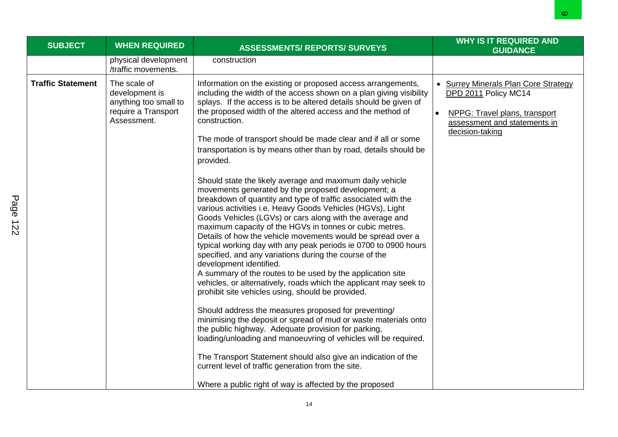|                          |                                                                                               |                                                                                                                                                                                                                                                                                                                                                                                                                                                                                                                                                                                                                                                                                                                                                                                                                                                                                                                                                                                                                                                                                                                                                                                                                                                                                                                                                                                                                                                                                                                                                                                                                                                                          | ∞                                                                                                                                                |
|--------------------------|-----------------------------------------------------------------------------------------------|--------------------------------------------------------------------------------------------------------------------------------------------------------------------------------------------------------------------------------------------------------------------------------------------------------------------------------------------------------------------------------------------------------------------------------------------------------------------------------------------------------------------------------------------------------------------------------------------------------------------------------------------------------------------------------------------------------------------------------------------------------------------------------------------------------------------------------------------------------------------------------------------------------------------------------------------------------------------------------------------------------------------------------------------------------------------------------------------------------------------------------------------------------------------------------------------------------------------------------------------------------------------------------------------------------------------------------------------------------------------------------------------------------------------------------------------------------------------------------------------------------------------------------------------------------------------------------------------------------------------------------------------------------------------------|--------------------------------------------------------------------------------------------------------------------------------------------------|
| <b>SUBJECT</b>           | <b>WHEN REQUIRED</b>                                                                          | <b>ASSESSMENTS/ REPORTS/ SURVEYS</b>                                                                                                                                                                                                                                                                                                                                                                                                                                                                                                                                                                                                                                                                                                                                                                                                                                                                                                                                                                                                                                                                                                                                                                                                                                                                                                                                                                                                                                                                                                                                                                                                                                     | <b>WHY IS IT REQUIRED AND</b><br><b>GUIDANCE</b>                                                                                                 |
|                          | physical development<br>/traffic movements.                                                   | construction                                                                                                                                                                                                                                                                                                                                                                                                                                                                                                                                                                                                                                                                                                                                                                                                                                                                                                                                                                                                                                                                                                                                                                                                                                                                                                                                                                                                                                                                                                                                                                                                                                                             |                                                                                                                                                  |
| <b>Traffic Statement</b> | The scale of<br>development is<br>anything too small to<br>require a Transport<br>Assessment. | Information on the existing or proposed access arrangements,<br>including the width of the access shown on a plan giving visibility<br>splays. If the access is to be altered details should be given of<br>the proposed width of the altered access and the method of<br>construction.<br>The mode of transport should be made clear and if all or some<br>transportation is by means other than by road, details should be<br>provided.<br>Should state the likely average and maximum daily vehicle<br>movements generated by the proposed development; a<br>breakdown of quantity and type of traffic associated with the<br>various activities i.e. Heavy Goods Vehicles (HGVs), Light<br>Goods Vehicles (LGVs) or cars along with the average and<br>maximum capacity of the HGVs in tonnes or cubic metres.<br>Details of how the vehicle movements would be spread over a<br>typical working day with any peak periods ie 0700 to 0900 hours<br>specified, and any variations during the course of the<br>development identified.<br>A summary of the routes to be used by the application site<br>vehicles, or alternatively, roads which the applicant may seek to<br>prohibit site vehicles using, should be provided.<br>Should address the measures proposed for preventing/<br>minimising the deposit or spread of mud or waste materials onto<br>the public highway. Adequate provision for parking,<br>loading/unloading and manoeuvring of vehicles will be required.<br>The Transport Statement should also give an indication of the<br>current level of traffic generation from the site.<br>Where a public right of way is affected by the proposed | • Surrey Minerals Plan Core Strategy<br>DPD 2011 Policy MC14<br>NPPG: Travel plans, transport<br>assessment and statements in<br>decision-taking |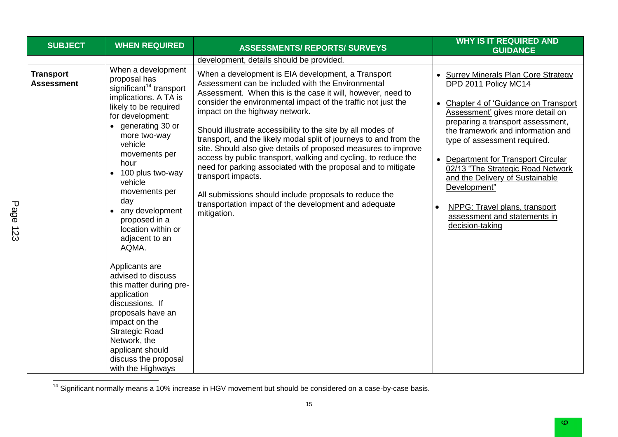| <b>SUBJECT</b>          | <b>WHEN REQUIRED</b>                                                                                                                                                                                                                                                                                                                                                                                                                                                                                                                                                                                                                                 | <b>ASSESSMENTS/ REPORTS/ SURVEYS</b>                                                                                                                                                                                                                                                                                                                                                                                                                                                                                                                                                                                                                                                                                                                                       | <b>WHY IS IT REQUIRED AND</b><br><b>GUIDANCE</b>                                                                                                                                                                                                                                                                                                                                                                                                                       |
|-------------------------|------------------------------------------------------------------------------------------------------------------------------------------------------------------------------------------------------------------------------------------------------------------------------------------------------------------------------------------------------------------------------------------------------------------------------------------------------------------------------------------------------------------------------------------------------------------------------------------------------------------------------------------------------|----------------------------------------------------------------------------------------------------------------------------------------------------------------------------------------------------------------------------------------------------------------------------------------------------------------------------------------------------------------------------------------------------------------------------------------------------------------------------------------------------------------------------------------------------------------------------------------------------------------------------------------------------------------------------------------------------------------------------------------------------------------------------|------------------------------------------------------------------------------------------------------------------------------------------------------------------------------------------------------------------------------------------------------------------------------------------------------------------------------------------------------------------------------------------------------------------------------------------------------------------------|
|                         |                                                                                                                                                                                                                                                                                                                                                                                                                                                                                                                                                                                                                                                      | development, details should be provided.                                                                                                                                                                                                                                                                                                                                                                                                                                                                                                                                                                                                                                                                                                                                   |                                                                                                                                                                                                                                                                                                                                                                                                                                                                        |
| Transport<br>Assessment | When a development<br>proposal has<br>significant <sup>14</sup> transport<br>implications. A TA is<br>likely to be required<br>for development:<br>• generating 30 or<br>more two-way<br>vehicle<br>movements per<br>hour<br>100 plus two-way<br>$\bullet$<br>vehicle<br>movements per<br>day<br>any development<br>$\bullet$<br>proposed in a<br>location within or<br>adjacent to an<br>AQMA.<br>Applicants are<br>advised to discuss<br>this matter during pre-<br>application<br>discussions. If<br>proposals have an<br>impact on the<br><b>Strategic Road</b><br>Network, the<br>applicant should<br>discuss the proposal<br>with the Highways | When a development is EIA development, a Transport<br>Assessment can be included with the Environmental<br>Assessment. When this is the case it will, however, need to<br>consider the environmental impact of the traffic not just the<br>impact on the highway network.<br>Should illustrate accessibility to the site by all modes of<br>transport, and the likely modal split of journeys to and from the<br>site. Should also give details of proposed measures to improve<br>access by public transport, walking and cycling, to reduce the<br>need for parking associated with the proposal and to mitigate<br>transport impacts.<br>All submissions should include proposals to reduce the<br>transportation impact of the development and adequate<br>mitigation. | • Surrey Minerals Plan Core Strategy<br>DPD 2011 Policy MC14<br>• Chapter 4 of 'Guidance on Transport<br>Assessment' gives more detail on<br>preparing a transport assessment,<br>the framework and information and<br>type of assessment required.<br>• Department for Transport Circular<br>02/13 "The Strategic Road Network<br>and the Delivery of Sustainable<br>Development"<br>NPPG: Travel plans, transport<br>assessment and statements in<br>decision-taking |

 $14$  Significant normally means a 10% increase in HGV movement but should be considered on a case-by-case basis.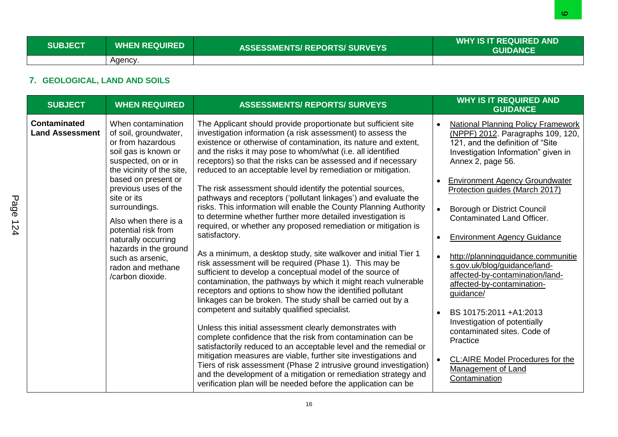### **7. GEOLOGICAL, LAND AND SOILS**

|                                               |                                                                                                                                                                                                                                                                                                                                                                                         |                                                                                                                                                                                                                                                                                                                                                                                                                                                                                                                                                                                                                                                                                                                                                                                                                                                                                                                                                                                                                                                                                                                                                                                                                                                                                                                                                                                                                                                                                                                                                                                                                                                                                | <u>o</u>                                                                                                                                                                                                                                                                                                                                                                                                                                                                                                                                                                                                                                                                                                                          |
|-----------------------------------------------|-----------------------------------------------------------------------------------------------------------------------------------------------------------------------------------------------------------------------------------------------------------------------------------------------------------------------------------------------------------------------------------------|--------------------------------------------------------------------------------------------------------------------------------------------------------------------------------------------------------------------------------------------------------------------------------------------------------------------------------------------------------------------------------------------------------------------------------------------------------------------------------------------------------------------------------------------------------------------------------------------------------------------------------------------------------------------------------------------------------------------------------------------------------------------------------------------------------------------------------------------------------------------------------------------------------------------------------------------------------------------------------------------------------------------------------------------------------------------------------------------------------------------------------------------------------------------------------------------------------------------------------------------------------------------------------------------------------------------------------------------------------------------------------------------------------------------------------------------------------------------------------------------------------------------------------------------------------------------------------------------------------------------------------------------------------------------------------|-----------------------------------------------------------------------------------------------------------------------------------------------------------------------------------------------------------------------------------------------------------------------------------------------------------------------------------------------------------------------------------------------------------------------------------------------------------------------------------------------------------------------------------------------------------------------------------------------------------------------------------------------------------------------------------------------------------------------------------|
| <b>SUBJECT</b>                                | <b>WHEN REQUIRED</b>                                                                                                                                                                                                                                                                                                                                                                    | <b>ASSESSMENTS/ REPORTS/ SURVEYS</b>                                                                                                                                                                                                                                                                                                                                                                                                                                                                                                                                                                                                                                                                                                                                                                                                                                                                                                                                                                                                                                                                                                                                                                                                                                                                                                                                                                                                                                                                                                                                                                                                                                           | <b>WHY IS IT REQUIRED AND</b><br><b>GUIDANCE</b>                                                                                                                                                                                                                                                                                                                                                                                                                                                                                                                                                                                                                                                                                  |
|                                               | Agency.                                                                                                                                                                                                                                                                                                                                                                                 |                                                                                                                                                                                                                                                                                                                                                                                                                                                                                                                                                                                                                                                                                                                                                                                                                                                                                                                                                                                                                                                                                                                                                                                                                                                                                                                                                                                                                                                                                                                                                                                                                                                                                |                                                                                                                                                                                                                                                                                                                                                                                                                                                                                                                                                                                                                                                                                                                                   |
| 7. GEOLOGICAL, LAND AND SOILS                 |                                                                                                                                                                                                                                                                                                                                                                                         |                                                                                                                                                                                                                                                                                                                                                                                                                                                                                                                                                                                                                                                                                                                                                                                                                                                                                                                                                                                                                                                                                                                                                                                                                                                                                                                                                                                                                                                                                                                                                                                                                                                                                |                                                                                                                                                                                                                                                                                                                                                                                                                                                                                                                                                                                                                                                                                                                                   |
| <b>SUBJECT</b>                                | <b>WHEN REQUIRED</b>                                                                                                                                                                                                                                                                                                                                                                    | <b>ASSESSMENTS/ REPORTS/ SURVEYS</b>                                                                                                                                                                                                                                                                                                                                                                                                                                                                                                                                                                                                                                                                                                                                                                                                                                                                                                                                                                                                                                                                                                                                                                                                                                                                                                                                                                                                                                                                                                                                                                                                                                           | <b>WHY IS IT REQUIRED AND</b>                                                                                                                                                                                                                                                                                                                                                                                                                                                                                                                                                                                                                                                                                                     |
|                                               |                                                                                                                                                                                                                                                                                                                                                                                         |                                                                                                                                                                                                                                                                                                                                                                                                                                                                                                                                                                                                                                                                                                                                                                                                                                                                                                                                                                                                                                                                                                                                                                                                                                                                                                                                                                                                                                                                                                                                                                                                                                                                                | <b>GUIDANCE</b>                                                                                                                                                                                                                                                                                                                                                                                                                                                                                                                                                                                                                                                                                                                   |
| <b>Contaminated</b><br><b>Land Assessment</b> | When contamination<br>of soil, groundwater,<br>or from hazardous<br>soil gas is known or<br>suspected, on or in<br>the vicinity of the site,<br>based on present or<br>previous uses of the<br>site or its<br>surroundings.<br>Also when there is a<br>potential risk from<br>naturally occurring<br>hazards in the ground<br>such as arsenic,<br>radon and methane<br>/carbon dioxide. | The Applicant should provide proportionate but sufficient site<br>investigation information (a risk assessment) to assess the<br>existence or otherwise of contamination, its nature and extent,<br>and the risks it may pose to whom/what (i.e. all identified<br>receptors) so that the risks can be assessed and if necessary<br>reduced to an acceptable level by remediation or mitigation.<br>The risk assessment should identify the potential sources,<br>pathways and receptors ('pollutant linkages') and evaluate the<br>risks. This information will enable the County Planning Authority<br>to determine whether further more detailed investigation is<br>required, or whether any proposed remediation or mitigation is<br>satisfactory.<br>As a minimum, a desktop study, site walkover and initial Tier 1<br>risk assessment will be required (Phase 1). This may be<br>sufficient to develop a conceptual model of the source of<br>contamination, the pathways by which it might reach vulnerable<br>receptors and options to show how the identified pollutant<br>linkages can be broken. The study shall be carried out by a<br>competent and suitably qualified specialist.<br>Unless this initial assessment clearly demonstrates with<br>complete confidence that the risk from contamination can be<br>satisfactorily reduced to an acceptable level and the remedial or<br>mitigation measures are viable, further site investigations and<br>Tiers of risk assessment (Phase 2 intrusive ground investigation)<br>and the development of a mitigation or remediation strategy and<br>verification plan will be needed before the application can be | <b>National Planning Policy Framework</b><br>(NPPF) 2012. Paragraphs 109, 120,<br>121, and the definition of "Site<br>Investigation Information" given in<br>Annex 2, page 56.<br><b>Environment Agency Groundwater</b><br>Protection guides (March 2017)<br><b>Borough or District Council</b><br>$\bullet$<br>Contaminated Land Officer.<br><b>Environment Agency Guidance</b><br>http://planningguidance.communitie<br>s.gov.uk/blog/guidance/land-<br>affected-by-contamination/land-<br>affected-by-contamination-<br>guidance/<br>BS 10175:2011 +A1:2013<br>Investigation of potentially<br>contaminated sites. Code of<br>Practice<br>CL:AIRE Model Procedures for the<br>$\bullet$<br>Management of Land<br>Contamination |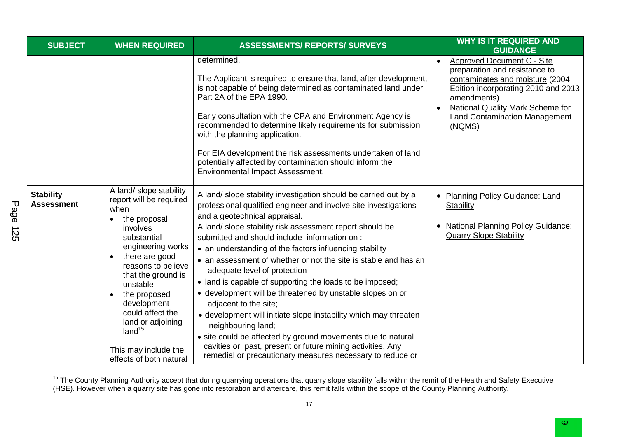| <b>SUBJECT</b>                        | <b>WHEN REQUIRED</b>                                                                                                                                                                                                                                                                                                                                                                 | <b>ASSESSMENTS/ REPORTS/ SURVEYS</b>                                                                                                                                                                                                                                                                                                                                                                                                                                                                                                                                                                                                                                                                                                                                                                                                                                                 | <b>WHY IS IT REQUIRED AND</b><br><b>GUIDANCE</b>                                                                                                                                                                                           |
|---------------------------------------|--------------------------------------------------------------------------------------------------------------------------------------------------------------------------------------------------------------------------------------------------------------------------------------------------------------------------------------------------------------------------------------|--------------------------------------------------------------------------------------------------------------------------------------------------------------------------------------------------------------------------------------------------------------------------------------------------------------------------------------------------------------------------------------------------------------------------------------------------------------------------------------------------------------------------------------------------------------------------------------------------------------------------------------------------------------------------------------------------------------------------------------------------------------------------------------------------------------------------------------------------------------------------------------|--------------------------------------------------------------------------------------------------------------------------------------------------------------------------------------------------------------------------------------------|
|                                       |                                                                                                                                                                                                                                                                                                                                                                                      | determined.<br>The Applicant is required to ensure that land, after development,<br>is not capable of being determined as contaminated land under<br>Part 2A of the EPA 1990.<br>Early consultation with the CPA and Environment Agency is<br>recommended to determine likely requirements for submission<br>with the planning application.<br>For EIA development the risk assessments undertaken of land<br>potentially affected by contamination should inform the<br>Environmental Impact Assessment.                                                                                                                                                                                                                                                                                                                                                                            | Approved Document C - Site<br>preparation and resistance to<br>contaminates and moisture (2004<br>Edition incorporating 2010 and 2013<br>amendments)<br>National Quality Mark Scheme for<br><b>Land Contamination Management</b><br>(NQMS) |
| <b>Stability</b><br><b>Assessment</b> | A land/ slope stability<br>report will be required<br>when<br>the proposal<br>$\bullet$<br>involves<br>substantial<br>engineering works<br>there are good<br>$\bullet$<br>reasons to believe<br>that the ground is<br>unstable<br>the proposed<br>$\bullet$<br>development<br>could affect the<br>land or adjoining<br>$land15$ .<br>This may include the<br>effects of both natural | A land/ slope stability investigation should be carried out by a<br>professional qualified engineer and involve site investigations<br>and a geotechnical appraisal.<br>A land/ slope stability risk assessment report should be<br>submitted and should include information on:<br>• an understanding of the factors influencing stability<br>• an assessment of whether or not the site is stable and has an<br>adequate level of protection<br>• land is capable of supporting the loads to be imposed;<br>• development will be threatened by unstable slopes on or<br>adjacent to the site;<br>• development will initiate slope instability which may threaten<br>neighbouring land;<br>• site could be affected by ground movements due to natural<br>cavities or past, present or future mining activities. Any<br>remedial or precautionary measures necessary to reduce or | <b>Planning Policy Guidance: Land</b><br><b>Stability</b><br><b>National Planning Policy Guidance:</b><br><b>Quarry Slope Stability</b>                                                                                                    |

 $\overline{a}$ <sup>15</sup> The County Planning Authority accept that during quarrying operations that quarry slope stability falls within the remit of the Health and Safety Executive (HSE). However when a quarry site has gone into restoration and aftercare, this remit falls within the scope of the County Planning Authority.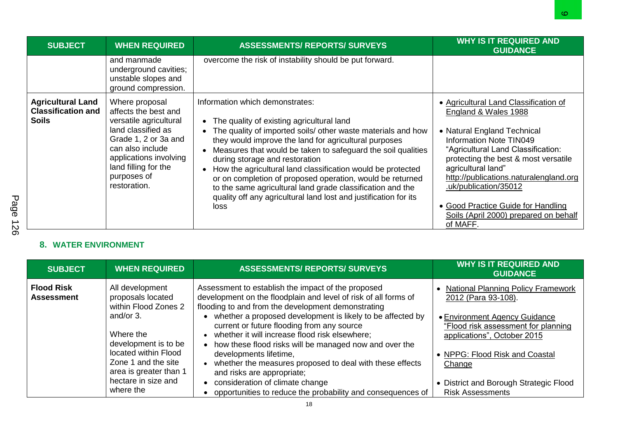| <b>SUBJECT</b>                                                        | <b>WHEN REQUIRED</b>                                                                                                                                                                                                | <b>ASSESSMENTS/ REPORTS/ SURVEYS</b>                                                                                                                                                                                                                                                                                                                                                                                                                                                                                                                                                                                 | <b>WHY IS IT REQUIRED AND</b><br><b>GUIDANCE</b>                                                                                                                                                                                                                                                                                                                                                 |
|-----------------------------------------------------------------------|---------------------------------------------------------------------------------------------------------------------------------------------------------------------------------------------------------------------|----------------------------------------------------------------------------------------------------------------------------------------------------------------------------------------------------------------------------------------------------------------------------------------------------------------------------------------------------------------------------------------------------------------------------------------------------------------------------------------------------------------------------------------------------------------------------------------------------------------------|--------------------------------------------------------------------------------------------------------------------------------------------------------------------------------------------------------------------------------------------------------------------------------------------------------------------------------------------------------------------------------------------------|
|                                                                       | and manmade<br>underground cavities;<br>unstable slopes and<br>ground compression.                                                                                                                                  | overcome the risk of instability should be put forward.                                                                                                                                                                                                                                                                                                                                                                                                                                                                                                                                                              |                                                                                                                                                                                                                                                                                                                                                                                                  |
| <b>Agricultural Land</b><br><b>Classification and</b><br><b>Soils</b> | Where proposal<br>affects the best and<br>versatile agricultural<br>land classified as<br>Grade 1, 2 or 3a and<br>can also include<br>applications involving<br>land filling for the<br>purposes of<br>restoration. | Information which demonstrates:<br>The quality of existing agricultural land<br>$\bullet$<br>The quality of imported soils/ other waste materials and how<br>$\bullet$<br>they would improve the land for agricultural purposes<br>Measures that would be taken to safeguard the soil qualities<br>during storage and restoration<br>How the agricultural land classification would be protected<br>$\bullet$<br>or on completion of proposed operation, would be returned<br>to the same agricultural land grade classification and the<br>quality off any agricultural land lost and justification for its<br>loss | • Agricultural Land Classification of<br>England & Wales 1988<br>• Natural England Technical<br><b>Information Note TIN049</b><br>"Agricultural Land Classification:<br>protecting the best & most versatile<br>agricultural land"<br>http://publications.naturalengland.org<br>.uk/publication/35012<br>• Good Practice Guide for Handling<br>Soils (April 2000) prepared on behalf<br>of MAFF. |

### **8. WATER ENVIRONMENT**

| <b>SUBJECT</b>                         | <b>WHEN REQUIRED</b>                                                  | <b>ASSESSMENTS/ REPORTS/ SURVEYS</b>                                                                                                                                                                                     | <b>WHY IS IT REQUIRED AND</b><br><b>GUIDANCE</b>                                                    |
|----------------------------------------|-----------------------------------------------------------------------|--------------------------------------------------------------------------------------------------------------------------------------------------------------------------------------------------------------------------|-----------------------------------------------------------------------------------------------------|
| <b>Flood Risk</b><br><b>Assessment</b> | All development<br>proposals located<br>within Flood Zones 2          | Assessment to establish the impact of the proposed<br>development on the floodplain and level of risk of all forms of<br>flooding to and from the development demonstrating                                              | <b>National Planning Policy Framework</b><br>2012 (Para 93-108).                                    |
|                                        | and/or 3.<br>Where the<br>development is to be                        | • whether a proposed development is likely to be affected by<br>current or future flooding from any source<br>whether it will increase flood risk elsewhere;<br>• how these flood risks will be managed now and over the | • Environment Agency Guidance<br>"Flood risk assessment for planning<br>applications", October 2015 |
|                                        | located within Flood<br>Zone 1 and the site<br>area is greater than 1 | developments lifetime,<br>whether the measures proposed to deal with these effects<br>and risks are appropriate;                                                                                                         | • NPPG: Flood Risk and Coastal<br>Change                                                            |
|                                        | hectare in size and<br>where the                                      | consideration of climate change<br>opportunities to reduce the probability and consequences of                                                                                                                           | • District and Borough Strategic Flood<br><b>Risk Assessments</b>                                   |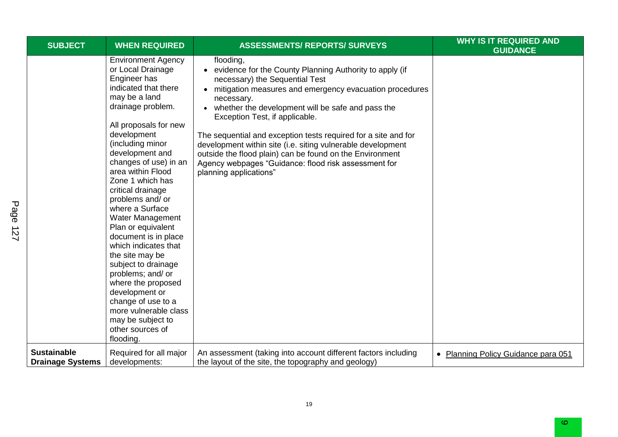| <b>SUBJECT</b>                                | <b>WHEN REQUIRED</b>                                                                                                                                                                                                                                                                                                                                                                                                                                                                                                                                                                                                                            | <b>ASSESSMENTS/ REPORTS/ SURVEYS</b>                                                                                                                                                                                                                                                                                                                                                                                                                                                                                                                                 | <b>WHY IS IT REQUIRED AND</b><br><b>GUIDANCE</b> |
|-----------------------------------------------|-------------------------------------------------------------------------------------------------------------------------------------------------------------------------------------------------------------------------------------------------------------------------------------------------------------------------------------------------------------------------------------------------------------------------------------------------------------------------------------------------------------------------------------------------------------------------------------------------------------------------------------------------|----------------------------------------------------------------------------------------------------------------------------------------------------------------------------------------------------------------------------------------------------------------------------------------------------------------------------------------------------------------------------------------------------------------------------------------------------------------------------------------------------------------------------------------------------------------------|--------------------------------------------------|
|                                               | <b>Environment Agency</b><br>or Local Drainage<br>Engineer has<br>indicated that there<br>may be a land<br>drainage problem.<br>All proposals for new<br>development<br>(including minor<br>development and<br>changes of use) in an<br>area within Flood<br>Zone 1 which has<br>critical drainage<br>problems and/ or<br>where a Surface<br>Water Management<br>Plan or equivalent<br>document is in place<br>which indicates that<br>the site may be<br>subject to drainage<br>problems; and/ or<br>where the proposed<br>development or<br>change of use to a<br>more vulnerable class<br>may be subject to<br>other sources of<br>flooding. | flooding,<br>• evidence for the County Planning Authority to apply (if<br>necessary) the Sequential Test<br>mitigation measures and emergency evacuation procedures<br>$\bullet$<br>necessary.<br>whether the development will be safe and pass the<br>Exception Test, if applicable.<br>The sequential and exception tests required for a site and for<br>development within site (i.e. siting vulnerable development<br>outside the flood plain) can be found on the Environment<br>Agency webpages "Guidance: flood risk assessment for<br>planning applications" |                                                  |
| <b>Sustainable</b><br><b>Drainage Systems</b> | Required for all major<br>developments:                                                                                                                                                                                                                                                                                                                                                                                                                                                                                                                                                                                                         | An assessment (taking into account different factors including<br>the layout of the site, the topography and geology)                                                                                                                                                                                                                                                                                                                                                                                                                                                | • Planning Policy Guidance para 051              |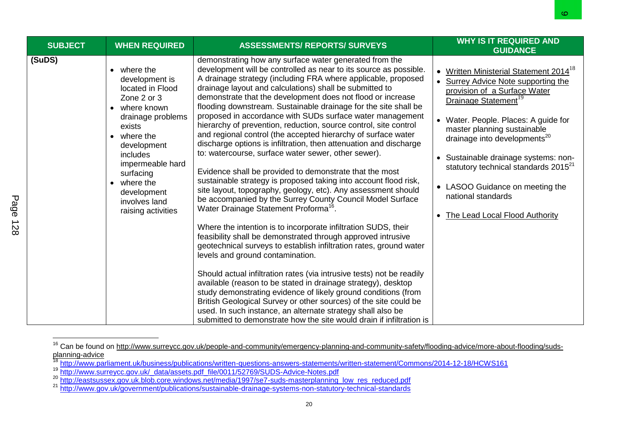| <b>SUBJECT</b> | <b>WHEN REQUIRED</b>                                                                                                                                                                                                                                                    | <b>ASSESSMENTS/ REPORTS/ SURVEYS</b>                                                                                                                                                                                                                                                                                                                                                                                                                                                                                                                                                                                                                                                                                                                                                                                                                                                                                                                                                                                                                                                                                                                                                                                                                                                                                                                                                                                                                                                                                                                                                                                                                                                                         | <b>WHY IS IT REQUIRED AND</b><br><b>GUIDANCE</b>                                                                                                                                                                                                                                                                                                                                                                                                                        |
|----------------|-------------------------------------------------------------------------------------------------------------------------------------------------------------------------------------------------------------------------------------------------------------------------|--------------------------------------------------------------------------------------------------------------------------------------------------------------------------------------------------------------------------------------------------------------------------------------------------------------------------------------------------------------------------------------------------------------------------------------------------------------------------------------------------------------------------------------------------------------------------------------------------------------------------------------------------------------------------------------------------------------------------------------------------------------------------------------------------------------------------------------------------------------------------------------------------------------------------------------------------------------------------------------------------------------------------------------------------------------------------------------------------------------------------------------------------------------------------------------------------------------------------------------------------------------------------------------------------------------------------------------------------------------------------------------------------------------------------------------------------------------------------------------------------------------------------------------------------------------------------------------------------------------------------------------------------------------------------------------------------------------|-------------------------------------------------------------------------------------------------------------------------------------------------------------------------------------------------------------------------------------------------------------------------------------------------------------------------------------------------------------------------------------------------------------------------------------------------------------------------|
| (SuDS)         | where the<br>development is<br>located in Flood<br>Zone 2 or 3<br>• where known<br>drainage problems<br>exists<br>where the<br>$\bullet$<br>development<br>includes<br>impermeable hard<br>surfacing<br>where the<br>development<br>involves land<br>raising activities | demonstrating how any surface water generated from the<br>development will be controlled as near to its source as possible.<br>A drainage strategy (including FRA where applicable, proposed<br>drainage layout and calculations) shall be submitted to<br>demonstrate that the development does not flood or increase<br>flooding downstream. Sustainable drainage for the site shall be<br>proposed in accordance with SUDs surface water management<br>hierarchy of prevention, reduction, source control, site control<br>and regional control (the accepted hierarchy of surface water<br>discharge options is infiltration, then attenuation and discharge<br>to: watercourse, surface water sewer, other sewer).<br>Evidence shall be provided to demonstrate that the most<br>sustainable strategy is proposed taking into account flood risk,<br>site layout, topography, geology, etc). Any assessment should<br>be accompanied by the Surrey County Council Model Surface<br>Water Drainage Statement Proforma <sup>16</sup> .<br>Where the intention is to incorporate infiltration SUDS, their<br>feasibility shall be demonstrated through approved intrusive<br>geotechnical surveys to establish infiltration rates, ground water<br>levels and ground contamination.<br>Should actual infiltration rates (via intrusive tests) not be readily<br>available (reason to be stated in drainage strategy), desktop<br>study demonstrating evidence of likely ground conditions (from<br>British Geological Survey or other sources) of the site could be<br>used. In such instance, an alternate strategy shall also be<br>submitted to demonstrate how the site would drain if infiltration is | • Written Ministerial Statement 2014 <sup>18</sup><br>Surrey Advice Note supporting the<br>provision of a Surface Water<br>Drainage Statement <sup>19</sup><br>• Water. People. Places: A guide for<br>master planning sustainable<br>drainage into developments <sup>20</sup><br>• Sustainable drainage systems: non-<br>statutory technical standards 2015 <sup>21</sup><br>• LASOO Guidance on meeting the<br>national standards<br>• The Lead Local Flood Authority |

<sup>&</sup>lt;sup>16</sup> Can be found on [http://www.surreycc.gov.uk/people-and-community/emergency-planning-and-community-safety/flooding-advice/more-about-flooding/suds](http://www.surreycc.gov.uk/people-and-community/emergency-planning-and-community-safety/flooding-advice/more-about-flooding/suds-planning-advice)[planning-advice](http://www.surreycc.gov.uk/people-and-community/emergency-planning-and-community-safety/flooding-advice/more-about-flooding/suds-planning-advice)

<sup>&</sup>lt;sup>18</sup> <http://www.parliament.uk/business/publications/written-questions-answers-statements/written-statement/Commons/2014-12-18/HCWS161>

<sup>&</sup>lt;sup>19</sup> [http://www.surreycc.gov.uk/\\_data/assets.pdf\\_file/0011/52769/SUDS-Advice-Notes.pdf](http://www.surreycc.gov.uk/_data/assets.pdf_file/0011/52769/SUDS-Advice-Notes.pdf)

<sup>&</sup>lt;sup>20</sup> [http://eastsussex.gov.uk.blob.core.windows.net/media/1997/se7-suds-masterplanning\\_low\\_res\\_reduced.pdf](http://eastsussex.gov.uk.blob.core.windows.net/media/1997/se7-suds-masterplanning_low_res_reduced.pdf)

<sup>&</sup>lt;sup>21</sup> <http://www.gov.uk/government/publications/sustainable-drainage-systems-non-statutory-technical-standards>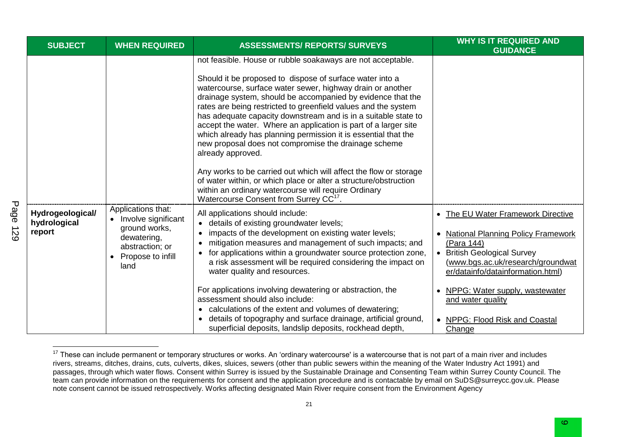| <b>SUBJECT</b>                             | <b>WHEN REQUIRED</b>                                                                                                      | <b>ASSESSMENTS/ REPORTS/ SURVEYS</b>                                                                                                                                                                                                                                                                                                                                                                                                                                                                                                                                                                                                                                                                                                                                                                                                                              | <b>WHY IS IT REQUIRED AND</b><br><b>GUIDANCE</b>                                                                                                                                                                                                                                                                                     |
|--------------------------------------------|---------------------------------------------------------------------------------------------------------------------------|-------------------------------------------------------------------------------------------------------------------------------------------------------------------------------------------------------------------------------------------------------------------------------------------------------------------------------------------------------------------------------------------------------------------------------------------------------------------------------------------------------------------------------------------------------------------------------------------------------------------------------------------------------------------------------------------------------------------------------------------------------------------------------------------------------------------------------------------------------------------|--------------------------------------------------------------------------------------------------------------------------------------------------------------------------------------------------------------------------------------------------------------------------------------------------------------------------------------|
|                                            |                                                                                                                           | not feasible. House or rubble soakaways are not acceptable.<br>Should it be proposed to dispose of surface water into a<br>watercourse, surface water sewer, highway drain or another<br>drainage system, should be accompanied by evidence that the<br>rates are being restricted to greenfield values and the system<br>has adequate capacity downstream and is in a suitable state to<br>accept the water. Where an application is part of a larger site<br>which already has planning permission it is essential that the<br>new proposal does not compromise the drainage scheme<br>already approved.<br>Any works to be carried out which will affect the flow or storage<br>of water within, or which place or alter a structure/obstruction<br>within an ordinary watercourse will require Ordinary<br>Watercourse Consent from Surrey CC <sup>17</sup> . |                                                                                                                                                                                                                                                                                                                                      |
| Hydrogeological/<br>hydrological<br>report | Applications that:<br>Involve significant<br>ground works,<br>dewatering,<br>abstraction; or<br>Propose to infill<br>land | All applications should include:<br>• details of existing groundwater levels;<br>impacts of the development on existing water levels;<br>mitigation measures and management of such impacts; and<br>for applications within a groundwater source protection zone,<br>a risk assessment will be required considering the impact on<br>water quality and resources.<br>For applications involving dewatering or abstraction, the<br>assessment should also include:<br>• calculations of the extent and volumes of dewatering;<br>details of topography and surface drainage, artificial ground,<br>superficial deposits, landslip deposits, rockhead depth,                                                                                                                                                                                                        | The EU Water Framework Directive<br><b>National Planning Policy Framework</b><br>(Para 144)<br><b>British Geological Survey</b><br>$\bullet$<br>(www.bgs.ac.uk/research/groundwat<br>er/datainfo/datainformation.html)<br>NPPG: Water supply, wastewater<br>and water quality<br>NPPG: Flood Risk and Coastal<br>$\bullet$<br>Change |

 $17$  These can include permanent or temporary structures or works. An 'ordinary watercourse' is a watercourse that is not part of a main river and includes rivers, streams, ditches, drains, cuts, culverts, dikes, sluices, sewers (other than public sewers within the meaning of the Water Industry Act 1991) and passages, through which water flows. Consent within Surrey is issued by the Sustainable Drainage and Consenting Team within Surrey County Council. The team can provide information on the requirements for consent and the application procedure and is contactable by email on SuDS@surreycc.gov.uk. Please note consent cannot be issued retrospectively. Works affecting designated Main River require consent from the Environment Agency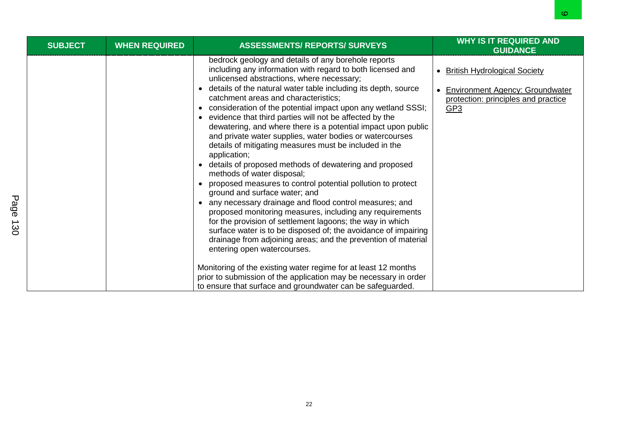|                  |                |                      |                                                                                                                                                                                                                                                                                                                                                                                                                                                                                                                                                                                                                                                                                                                                                                                                                                                                                                                                                                                                                                                                                                                                                                                                                                                                                                                                                                                       | O.                                                                                                                          |
|------------------|----------------|----------------------|---------------------------------------------------------------------------------------------------------------------------------------------------------------------------------------------------------------------------------------------------------------------------------------------------------------------------------------------------------------------------------------------------------------------------------------------------------------------------------------------------------------------------------------------------------------------------------------------------------------------------------------------------------------------------------------------------------------------------------------------------------------------------------------------------------------------------------------------------------------------------------------------------------------------------------------------------------------------------------------------------------------------------------------------------------------------------------------------------------------------------------------------------------------------------------------------------------------------------------------------------------------------------------------------------------------------------------------------------------------------------------------|-----------------------------------------------------------------------------------------------------------------------------|
|                  | <b>SUBJECT</b> | <b>WHEN REQUIRED</b> | <b>ASSESSMENTS/ REPORTS/ SURVEYS</b>                                                                                                                                                                                                                                                                                                                                                                                                                                                                                                                                                                                                                                                                                                                                                                                                                                                                                                                                                                                                                                                                                                                                                                                                                                                                                                                                                  | <b>WHY IS IT REQUIRED AND</b><br><b>GUIDANCE</b>                                                                            |
| Page<br>∸<br>ဗ္ထ |                |                      | bedrock geology and details of any borehole reports<br>including any information with regard to both licensed and<br>unlicensed abstractions, where necessary;<br>details of the natural water table including its depth, source<br>$\bullet$<br>catchment areas and characteristics;<br>consideration of the potential impact upon any wetland SSSI;<br>$\bullet$<br>evidence that third parties will not be affected by the<br>dewatering, and where there is a potential impact upon public<br>and private water supplies, water bodies or watercourses<br>details of mitigating measures must be included in the<br>application;<br>details of proposed methods of dewatering and proposed<br>methods of water disposal;<br>proposed measures to control potential pollution to protect<br>ground and surface water; and<br>any necessary drainage and flood control measures; and<br>proposed monitoring measures, including any requirements<br>for the provision of settlement lagoons; the way in which<br>surface water is to be disposed of; the avoidance of impairing<br>drainage from adjoining areas; and the prevention of material<br>entering open watercourses.<br>Monitoring of the existing water regime for at least 12 months<br>prior to submission of the application may be necessary in order<br>to ensure that surface and groundwater can be safeguarded. | <b>British Hydrological Society</b><br><b>Environment Agency: Groundwater</b><br>protection: principles and practice<br>GP3 |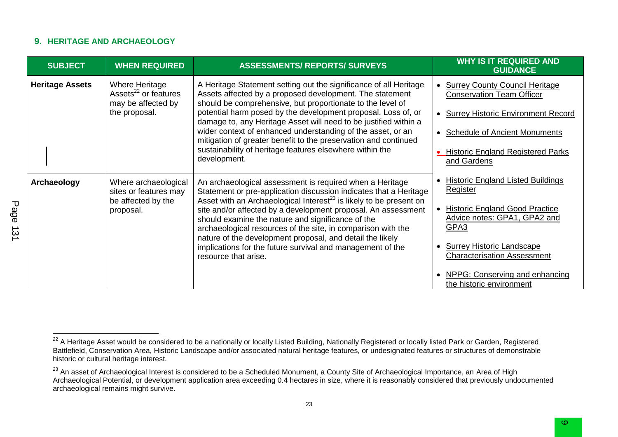#### **9. HERITAGE AND ARCHAEOLOGY**

| <b>SUBJECT</b>         | <b>WHEN REQUIRED</b>                                                     | <b>ASSESSMENTS/ REPORTS/ SURVEYS</b>                                                                                                                                                                                                                                                                                              | <b>WHY IS IT REQUIRED AND</b><br><b>GUIDANCE</b>                              |
|------------------------|--------------------------------------------------------------------------|-----------------------------------------------------------------------------------------------------------------------------------------------------------------------------------------------------------------------------------------------------------------------------------------------------------------------------------|-------------------------------------------------------------------------------|
| <b>Heritage Assets</b> | Where Heritage<br>Assets <sup>22</sup> or features<br>may be affected by | A Heritage Statement setting out the significance of all Heritage<br>Assets affected by a proposed development. The statement<br>should be comprehensive, but proportionate to the level of                                                                                                                                       | <b>Surrey County Council Heritage</b><br><b>Conservation Team Officer</b>     |
|                        | the proposal.                                                            | potential harm posed by the development proposal. Loss of, or<br>damage to, any Heritage Asset will need to be justified within a                                                                                                                                                                                                 | <b>Surrey Historic Environment Record</b>                                     |
|                        |                                                                          | wider context of enhanced understanding of the asset, or an<br>mitigation of greater benefit to the preservation and continued                                                                                                                                                                                                    | <b>Schedule of Ancient Monuments</b>                                          |
|                        |                                                                          | sustainability of heritage features elsewhere within the<br>development.                                                                                                                                                                                                                                                          | <b>Historic England Registered Parks</b><br>and Gardens                       |
| Archaeology            | Where archaeological<br>sites or features may                            | An archaeological assessment is required when a Heritage<br>Statement or pre-application discussion indicates that a Heritage                                                                                                                                                                                                     | <b>Historic England Listed Buildings</b><br><b>Register</b>                   |
|                        | be affected by the<br>proposal.                                          | Asset with an Archaeological Interest <sup>23</sup> is likely to be present on<br>site and/or affected by a development proposal. An assessment<br>should examine the nature and significance of the<br>archaeological resources of the site, in comparison with the<br>nature of the development proposal, and detail the likely | <b>Historic England Good Practice</b><br>Advice notes: GPA1, GPA2 and<br>GPA3 |
|                        |                                                                          | implications for the future survival and management of the<br>resource that arise.                                                                                                                                                                                                                                                | <b>Surrey Historic Landscape</b><br><b>Characterisation Assessment</b>        |
|                        |                                                                          |                                                                                                                                                                                                                                                                                                                                   | NPPG: Conserving and enhancing<br>the historic environment                    |

23

 $^{22}$  A Heritage Asset would be considered to be a nationally or locally Listed Building, Nationally Registered or locally listed Park or Garden, Registered Battlefield, Conservation Area, Historic Landscape and/or associated natural heritage features, or undesignated features or structures of demonstrable historic or cultural heritage interest.

<sup>&</sup>lt;sup>23</sup> An asset of Archaeological Interest is considered to be a Scheduled Monument, a County Site of Archaeological Importance, an Area of High Archaeological Potential, or development application area exceeding 0.4 hectares in size, where it is reasonably considered that previously undocumented archaeological remains might survive.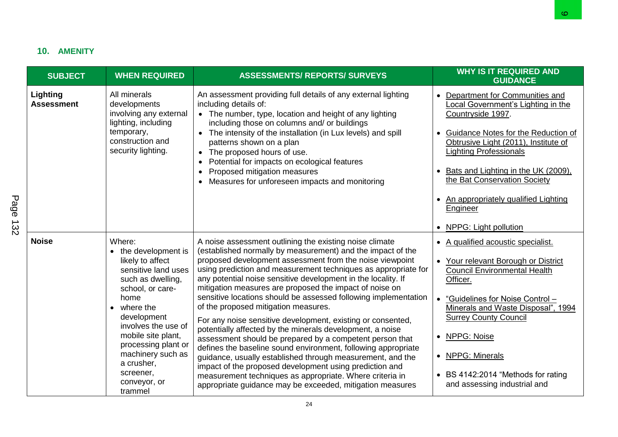# **10. AMENITY**

|             | 10. AMENITY<br><b>SUBJECT</b> | <b>WHEN REQUIRED</b>                                                                                                                                                                                                                                                                                             | <b>ASSESSMENTS/ REPORTS/ SURVEYS</b>                                                                                                                                                                                                                                                                                                                                                                                                                                                                                                                                                                                                                                                                                                                                                                                                                                                                                                                                                                   | <b>WHY IS IT REQUIRED AND</b><br><b>GUIDANCE</b>                                                                                                                                                                                                                                                                                                                                    |
|-------------|-------------------------------|------------------------------------------------------------------------------------------------------------------------------------------------------------------------------------------------------------------------------------------------------------------------------------------------------------------|--------------------------------------------------------------------------------------------------------------------------------------------------------------------------------------------------------------------------------------------------------------------------------------------------------------------------------------------------------------------------------------------------------------------------------------------------------------------------------------------------------------------------------------------------------------------------------------------------------------------------------------------------------------------------------------------------------------------------------------------------------------------------------------------------------------------------------------------------------------------------------------------------------------------------------------------------------------------------------------------------------|-------------------------------------------------------------------------------------------------------------------------------------------------------------------------------------------------------------------------------------------------------------------------------------------------------------------------------------------------------------------------------------|
| Page<br>132 | Lighting<br><b>Assessment</b> | All minerals<br>developments<br>involving any external<br>lighting, including<br>temporary,<br>construction and<br>security lighting.                                                                                                                                                                            | An assessment providing full details of any external lighting<br>including details of:<br>• The number, type, location and height of any lighting<br>including those on columns and/ or buildings<br>• The intensity of the installation (in Lux levels) and spill<br>patterns shown on a plan<br>• The proposed hours of use.<br>Potential for impacts on ecological features<br>Proposed mitigation measures<br>Measures for unforeseen impacts and monitoring                                                                                                                                                                                                                                                                                                                                                                                                                                                                                                                                       | Department for Communities and<br>Local Government's Lighting in the<br>Countryside 1997.<br>Guidance Notes for the Reduction of<br>$\bullet$<br>Obtrusive Light (2011), Institute of<br><b>Lighting Professionals</b><br>Bats and Lighting in the UK (2009),<br>the Bat Conservation Society<br>An appropriately qualified Lighting<br>٠<br>Engineer<br>NPPG: Light pollution      |
|             | <b>Noise</b>                  | Where:<br>the development is<br>$\bullet$<br>likely to affect<br>sensitive land uses<br>such as dwelling,<br>school, or care-<br>home<br>where the<br>development<br>involves the use of<br>mobile site plant,<br>processing plant or<br>machinery such as<br>a crusher,<br>screener,<br>conveyor, or<br>trammel | A noise assessment outlining the existing noise climate<br>(established normally by measurement) and the impact of the<br>proposed development assessment from the noise viewpoint<br>using prediction and measurement techniques as appropriate for<br>any potential noise sensitive development in the locality. If<br>mitigation measures are proposed the impact of noise on<br>sensitive locations should be assessed following implementation<br>of the proposed mitigation measures.<br>For any noise sensitive development, existing or consented,<br>potentially affected by the minerals development, a noise<br>assessment should be prepared by a competent person that<br>defines the baseline sound environment, following appropriate<br>guidance, usually established through measurement, and the<br>impact of the proposed development using prediction and<br>measurement techniques as appropriate. Where criteria in<br>appropriate guidance may be exceeded, mitigation measures | • A qualified acoustic specialist.<br>Your relevant Borough or District<br>$\bullet$<br><b>Council Environmental Health</b><br>Officer.<br>"Guidelines for Noise Control -<br>$\bullet$<br>Minerals and Waste Disposal", 1994<br><b>Surrey County Council</b><br>NPPG: Noise<br>$\bullet$<br>• NPPG: Minerals<br>• BS 4142:2014 "Methods for rating<br>and assessing industrial and |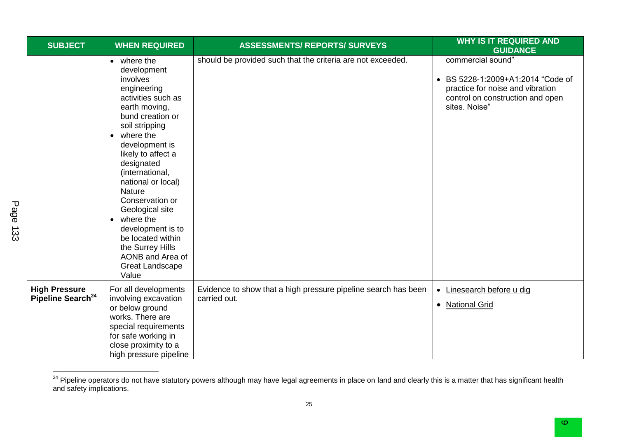| <b>SUBJECT</b>                                        | <b>WHEN REQUIRED</b>                                                                                                                                                                                                                                                                                                                                                                                                                                | <b>ASSESSMENTS/ REPORTS/ SURVEYS</b>                                           | <b>WHY IS IT REQUIRED AND</b><br><b>GUIDANCE</b>                                                                                                |
|-------------------------------------------------------|-----------------------------------------------------------------------------------------------------------------------------------------------------------------------------------------------------------------------------------------------------------------------------------------------------------------------------------------------------------------------------------------------------------------------------------------------------|--------------------------------------------------------------------------------|-------------------------------------------------------------------------------------------------------------------------------------------------|
|                                                       | • where the<br>development<br>involves<br>engineering<br>activities such as<br>earth moving,<br>bund creation or<br>soil stripping<br>$\bullet$ where the<br>development is<br>likely to affect a<br>designated<br>(international,<br>national or local)<br><b>Nature</b><br>Conservation or<br>Geological site<br>• where the<br>development is to<br>be located within<br>the Surrey Hills<br>AONB and Area of<br><b>Great Landscape</b><br>Value | should be provided such that the criteria are not exceeded.                    | commercial sound"<br>• BS 5228-1:2009+A1:2014 "Code of<br>practice for noise and vibration<br>control on construction and open<br>sites. Noise" |
| <b>High Pressure</b><br>Pipeline Search <sup>24</sup> | For all developments<br>involving excavation<br>or below ground<br>works. There are<br>special requirements<br>for safe working in<br>close proximity to a<br>high pressure pipeline                                                                                                                                                                                                                                                                | Evidence to show that a high pressure pipeline search has been<br>carried out. | • Linesearch before u dig<br>• National Grid                                                                                                    |

<sup>&</sup>lt;sup>24</sup> Pipeline operators do not have statutory powers although may have legal agreements in place on land and clearly this is a matter that has significant health and safety implications.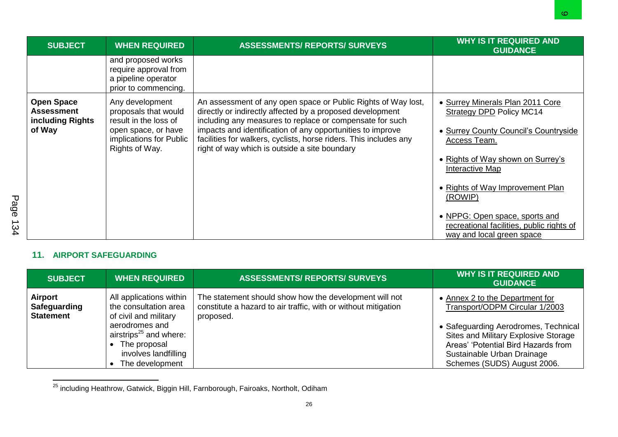|         |                                                                      |                                                                                                                                      |                                                                                                                                                                                                                                                                                                                                                                            | O.                                                                                                                                                                                                                                  |
|---------|----------------------------------------------------------------------|--------------------------------------------------------------------------------------------------------------------------------------|----------------------------------------------------------------------------------------------------------------------------------------------------------------------------------------------------------------------------------------------------------------------------------------------------------------------------------------------------------------------------|-------------------------------------------------------------------------------------------------------------------------------------------------------------------------------------------------------------------------------------|
|         | <b>SUBJECT</b>                                                       | <b>WHEN REQUIRED</b>                                                                                                                 | <b>ASSESSMENTS/ REPORTS/ SURVEYS</b>                                                                                                                                                                                                                                                                                                                                       | <b>WHY IS IT REQUIRED AND</b><br><b>GUIDANCE</b>                                                                                                                                                                                    |
|         |                                                                      | and proposed works<br>require approval from<br>a pipeline operator<br>prior to commencing.                                           |                                                                                                                                                                                                                                                                                                                                                                            |                                                                                                                                                                                                                                     |
| Page    | <b>Open Space</b><br><b>Assessment</b><br>including Rights<br>of Way | Any development<br>proposals that would<br>result in the loss of<br>open space, or have<br>implications for Public<br>Rights of Way. | An assessment of any open space or Public Rights of Way lost,<br>directly or indirectly affected by a proposed development<br>including any measures to replace or compensate for such<br>impacts and identification of any opportunities to improve<br>facilities for walkers, cyclists, horse riders. This includes any<br>right of way which is outside a site boundary | • Surrey Minerals Plan 2011 Core<br><b>Strategy DPD Policy MC14</b><br>• Surrey County Council's Countryside<br>Access Team.<br>• Rights of Way shown on Surrey's<br>Interactive Map<br>• Rights of Way Improvement Plan<br>(ROWIP) |
| ∸<br>34 |                                                                      |                                                                                                                                      |                                                                                                                                                                                                                                                                                                                                                                            | • NPPG: Open space, sports and<br>recreational facilities, public rights of<br>way and local green space                                                                                                                            |

### **11. AIRPORT SAFEGUARDING**

| <b>SUBJECT</b>                              | <b>WHEN REQUIRED</b>                                                                                                                                                                           | <b>ASSESSMENTS/ REPORTS/ SURVEYS</b>                                                                                                  | <b>WHY IS IT REQUIRED AND</b><br><b>GUIDANCE</b>                                                                                                                                                                                                      |
|---------------------------------------------|------------------------------------------------------------------------------------------------------------------------------------------------------------------------------------------------|---------------------------------------------------------------------------------------------------------------------------------------|-------------------------------------------------------------------------------------------------------------------------------------------------------------------------------------------------------------------------------------------------------|
| Airport<br>Safeguarding<br><b>Statement</b> | All applications within<br>the consultation area<br>of civil and military<br>aerodromes and<br>airstrips <sup>25</sup> and where:<br>• The proposal<br>involves landfilling<br>The development | The statement should show how the development will not<br>constitute a hazard to air traffic, with or without mitigation<br>proposed. | • Annex 2 to the Department for<br>Transport/ODPM Circular 1/2003<br>• Safeguarding Aerodromes, Technical<br>Sites and Military Explosive Storage<br>Areas' 'Potential Bird Hazards from<br>Sustainable Urban Drainage<br>Schemes (SUDS) August 2006. |

 $\overline{a}$ <sup>25</sup> including Heathrow, Gatwick, Biggin Hill, Farnborough, Fairoaks, Northolt, Odiham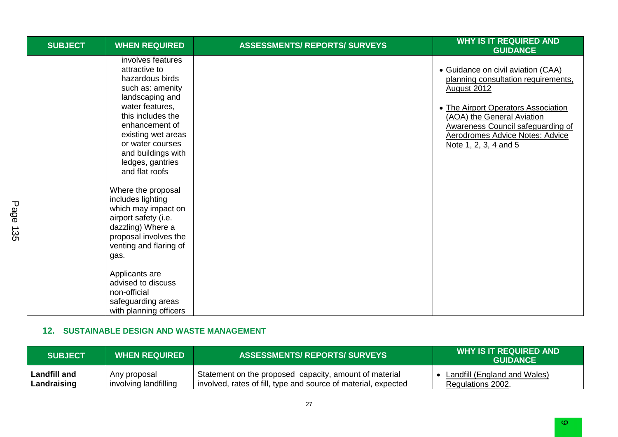| <b>SUBJECT</b> | <b>WHEN REQUIRED</b>                                                                                                                                                                                                                                                           | <b>ASSESSMENTS/ REPORTS/ SURVEYS</b> | <b>WHY IS IT REQUIRED AND</b><br><b>GUIDANCE</b>                                                                                                                                                                                                                             |
|----------------|--------------------------------------------------------------------------------------------------------------------------------------------------------------------------------------------------------------------------------------------------------------------------------|--------------------------------------|------------------------------------------------------------------------------------------------------------------------------------------------------------------------------------------------------------------------------------------------------------------------------|
|                | involves features<br>attractive to<br>hazardous birds<br>such as: amenity<br>landscaping and<br>water features,<br>this includes the<br>enhancement of<br>existing wet areas<br>or water courses<br>and buildings with<br>ledges, gantries<br>and flat roofs                   |                                      | • Guidance on civil aviation (CAA)<br>planning consultation requirements,<br><b>August 2012</b><br>• The Airport Operators Association<br>(AOA) the General Aviation<br><b>Awareness Council safeguarding of</b><br>Aerodromes Advice Notes: Advice<br>Note 1, 2, 3, 4 and 5 |
|                | Where the proposal<br>includes lighting<br>which may impact on<br>airport safety (i.e.<br>dazzling) Where a<br>proposal involves the<br>venting and flaring of<br>gas.<br>Applicants are<br>advised to discuss<br>non-official<br>safeguarding areas<br>with planning officers |                                      |                                                                                                                                                                                                                                                                              |

### **12. SUSTAINABLE DESIGN AND WASTE MANAGEMENT**

| <b>SUBJECT</b> | <b>WHEN REQUIRED</b>  | <b>ASSESSMENTS/ REPORTS/ SURVEYS</b>                           | <b>WHY IS IT REQUIRED AND</b><br><b>GUIDANCE</b> |
|----------------|-----------------------|----------------------------------------------------------------|--------------------------------------------------|
| Landfill and   | Any proposal          | Statement on the proposed capacity, amount of material         | Landfill (England and Wales)                     |
| Landraising    | involving landfilling | involved, rates of fill, type and source of material, expected | Regulations 2002.                                |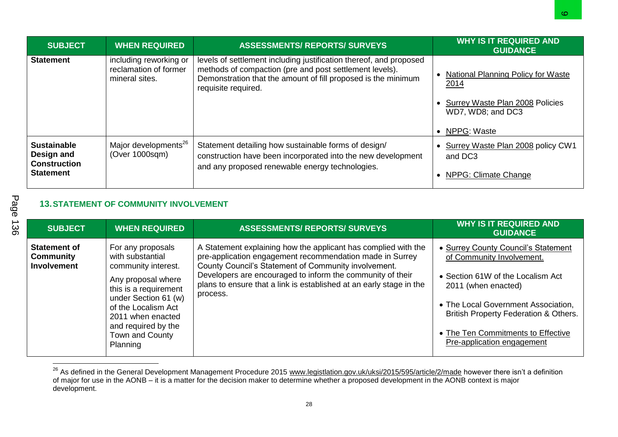|                                                                             |                                                                   |                                                                                                                                                                                                                       | O.                                                                                                                                |
|-----------------------------------------------------------------------------|-------------------------------------------------------------------|-----------------------------------------------------------------------------------------------------------------------------------------------------------------------------------------------------------------------|-----------------------------------------------------------------------------------------------------------------------------------|
| <b>SUBJECT</b>                                                              | <b>WHEN REQUIRED</b>                                              | <b>ASSESSMENTS/ REPORTS/ SURVEYS</b>                                                                                                                                                                                  | <b>WHY IS IT REQUIRED AND</b><br><b>GUIDANCE</b>                                                                                  |
| <b>Statement</b>                                                            | including reworking or<br>reclamation of former<br>mineral sites. | levels of settlement including justification thereof, and proposed<br>methods of compaction (pre and post settlement levels).<br>Demonstration that the amount of fill proposed is the minimum<br>requisite required. | <b>National Planning Policy for Waste</b><br>2014<br><b>Surrey Waste Plan 2008 Policies</b><br>WD7, WD8; and DC3<br>• NPPG: Waste |
| <b>Sustainable</b><br>Design and<br><b>Construction</b><br><b>Statement</b> | Major developments <sup>26</sup><br>(Over 1000sqm)                | Statement detailing how sustainable forms of design/<br>construction have been incorporated into the new development<br>and any proposed renewable energy technologies.                                               | Surrey Waste Plan 2008 policy CW1<br>and DC3<br>NPPG: Climate Change                                                              |
|                                                                             | <b>13. STATEMENT OF COMMUNITY INVOLVEMENT</b>                     |                                                                                                                                                                                                                       |                                                                                                                                   |
| <b>SUBJECT</b>                                                              | <b>WHEN REQUIRED</b>                                              | <b>ASSESSMENTS/ REPORTS/ SURVEYS</b>                                                                                                                                                                                  | <b>WHY IS IT REQUIRED AND</b><br><b>GUIDANCE</b>                                                                                  |

## **13.STATEMENT OF COMMUNITY INVOLVEMENT**

| <b>SUBJECT</b>                                                | <b>WHEN REQUIRED</b>                                                                                                                                                                                                                  | <b>ASSESSMENTS/ REPORTS/ SURVEYS</b>                                                                                                                                                                                                                                                                                                | <b>WHY IS IT REQUIRED AND</b><br><b>GUIDANCE</b>                                                                                                                                                                                                                                 |
|---------------------------------------------------------------|---------------------------------------------------------------------------------------------------------------------------------------------------------------------------------------------------------------------------------------|-------------------------------------------------------------------------------------------------------------------------------------------------------------------------------------------------------------------------------------------------------------------------------------------------------------------------------------|----------------------------------------------------------------------------------------------------------------------------------------------------------------------------------------------------------------------------------------------------------------------------------|
| <b>Statement of</b><br><b>Community</b><br><b>Involvement</b> | For any proposals<br>with substantial<br>community interest.<br>Any proposal where<br>this is a requirement<br>under Section 61 (w)<br>of the Localism Act<br>2011 when enacted<br>and required by the<br>Town and County<br>Planning | A Statement explaining how the applicant has complied with the<br>pre-application engagement recommendation made in Surrey<br>County Council's Statement of Community involvement.<br>Developers are encouraged to inform the community of their<br>plans to ensure that a link is established at an early stage in the<br>process. | • Surrey County Council's Statement<br>of Community Involvement.<br>• Section 61W of the Localism Act<br>2011 (when enacted)<br>• The Local Government Association,<br>British Property Federation & Others.<br>• The Ten Commitments to Effective<br>Pre-application engagement |

<sup>26</sup> As defined in the General Development Management Procedure 2015 [www.legistlation.gov.uk/uksi/2015/595/article/2/made](http://www.legistlation.gov.uk/uksi/2015/595/article/2/made) however there isn't a definition of major for use in the AONB – it is a matter for the decision maker to determine whether a proposed development in the AONB context is major development.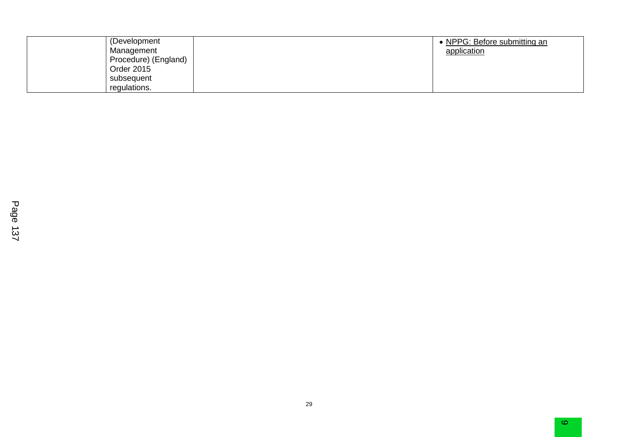| (Development)        | • NPPG: Before submitting an |
|----------------------|------------------------------|
| Management           | application                  |
| Procedure) (England) |                              |
| Order 2015           |                              |
| subsequent           |                              |
| regulations.         |                              |